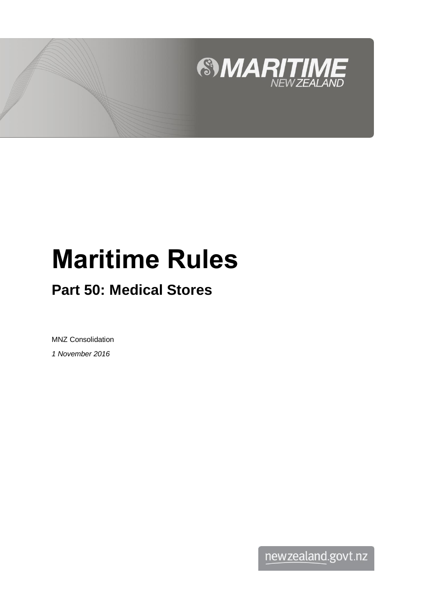

# **Maritime Rules**

# **Part 50: Medical Stores**

MNZ Consolidation *1 November 2016*

newzealand.govt.nz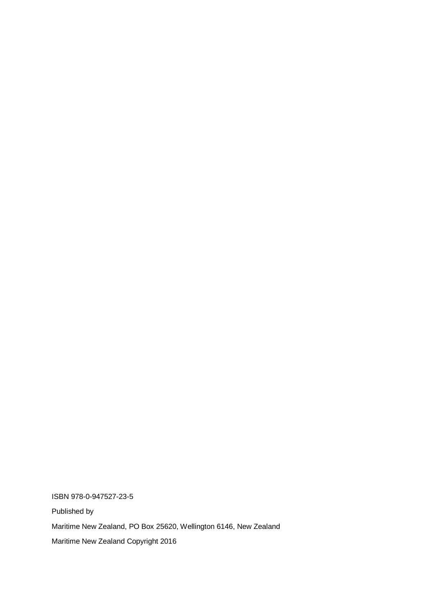ISBN 978-0-947527-23-5 Published by Maritime New Zealand, PO Box 25620, Wellington 6146, New Zealand Maritime New Zealand Copyright 2016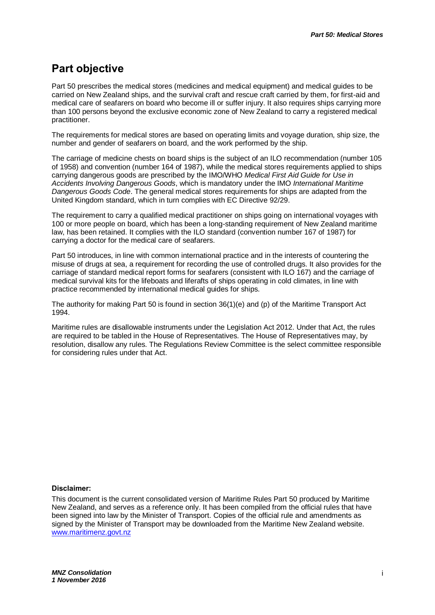### **Part objective**

Part 50 prescribes the medical stores (medicines and medical equipment) and medical guides to be carried on New Zealand ships, and the survival craft and rescue craft carried by them, for first-aid and medical care of seafarers on board who become ill or suffer injury. It also requires ships carrying more than 100 persons beyond the exclusive economic zone of New Zealand to carry a registered medical practitioner.

The requirements for medical stores are based on operating limits and voyage duration, ship size, the number and gender of seafarers on board, and the work performed by the ship.

The carriage of medicine chests on board ships is the subject of an ILO recommendation (number 105 of 1958) and convention (number 164 of 1987), while the medical stores requirements applied to ships carrying dangerous goods are prescribed by the IMO/WHO *Medical First Aid Guide for Use in Accidents Involving Dangerous Goods*, which is mandatory under the IMO *International Maritime Dangerous Goods Code*. The general medical stores requirements for ships are adapted from the United Kingdom standard, which in turn complies with EC Directive 92/29.

The requirement to carry a qualified medical practitioner on ships going on international voyages with 100 or more people on board, which has been a long-standing requirement of New Zealand maritime law, has been retained. It complies with the ILO standard (convention number 167 of 1987) for carrying a doctor for the medical care of seafarers.

Part 50 introduces, in line with common international practice and in the interests of countering the misuse of drugs at sea, a requirement for recording the use of controlled drugs. It also provides for the carriage of standard medical report forms for seafarers (consistent with ILO 167) and the carriage of medical survival kits for the lifeboats and liferafts of ships operating in cold climates, in line with practice recommended by international medical guides for ships.

The authority for making Part 50 is found in section 36(1)(e) and (p) of the Maritime Transport Act 1994.

Maritime rules are disallowable instruments under the Legislation Act 2012. Under that Act, the rules are required to be tabled in the House of Representatives. The House of Representatives may, by resolution, disallow any rules. The Regulations Review Committee is the select committee responsible for considering rules under that Act.

#### **Disclaimer:**

This document is the current consolidated version of Maritime Rules Part 50 produced by Maritime New Zealand, and serves as a reference only. It has been compiled from the official rules that have been signed into law by the Minister of Transport. Copies of the official rule and amendments as signed by the Minister of Transport may be downloaded from the Maritime New Zealand website. [www.maritimenz.govt.nz](http://www.maritimenz.govt.nz/)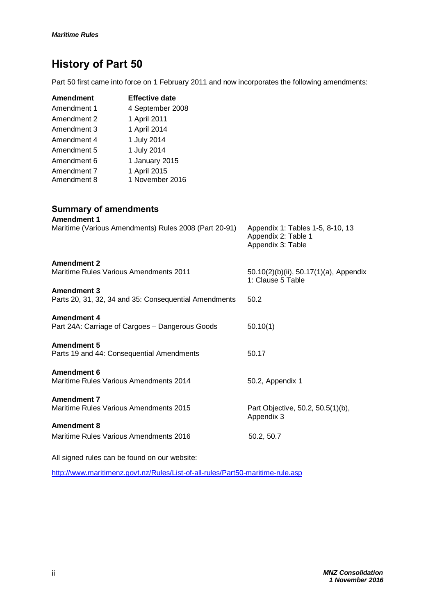## **History of Part 50**

Part 50 first came into force on 1 February 2011 and now incorporates the following amendments:

| Amendment                  | <b>Effective date</b>           |
|----------------------------|---------------------------------|
| Amendment 1                | 4 September 2008                |
| Amendment 2                | 1 April 2011                    |
| Amendment 3                | 1 April 2014                    |
| Amendment 4                | 1 July 2014                     |
| Amendment 5                | 1 July 2014                     |
| Amendment 6                | 1 January 2015                  |
| Amendment 7<br>Amendment 8 | 1 April 2015<br>1 November 2016 |

|             | <b>Summary of amendments</b> |
|-------------|------------------------------|
| Amondmont 1 |                              |

| AIIIGHUILIGHU I<br>Maritime (Various Amendments) Rules 2008 (Part 20-91)    | Appendix 1: Tables 1-5, 8-10, 13<br>Appendix 2: Table 1<br>Appendix 3: Table |
|-----------------------------------------------------------------------------|------------------------------------------------------------------------------|
| <b>Amendment 2</b><br>Maritime Rules Various Amendments 2011                | 50.10(2)(b)(ii), 50.17(1)(a), Appendix<br>1: Clause 5 Table                  |
| <b>Amendment 3</b><br>Parts 20, 31, 32, 34 and 35: Consequential Amendments | 50.2                                                                         |
| <b>Amendment 4</b><br>Part 24A: Carriage of Cargoes - Dangerous Goods       | 50.10(1)                                                                     |
| <b>Amendment 5</b><br>Parts 19 and 44: Consequential Amendments             | 50.17                                                                        |
| Amendment 6<br>Maritime Rules Various Amendments 2014                       | 50.2, Appendix 1                                                             |
| <b>Amendment 7</b><br>Maritime Rules Various Amendments 2015                | Part Objective, 50.2, 50.5(1)(b),<br>Appendix 3                              |
| <b>Amendment 8</b>                                                          |                                                                              |
| Maritime Rules Various Amendments 2016                                      | 50.2, 50.7                                                                   |

All signed rules can be found on our website:

<http://www.maritimenz.govt.nz/Rules/List-of-all-rules/Part50-maritime-rule.asp>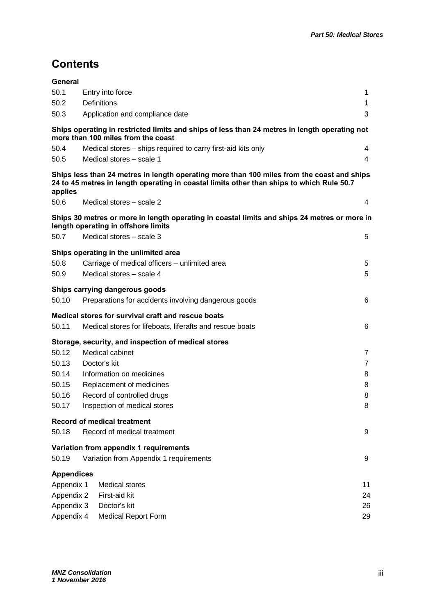## **Contents**

| General           |                                                                                                                                                                                         |                |
|-------------------|-----------------------------------------------------------------------------------------------------------------------------------------------------------------------------------------|----------------|
| 50.1              | Entry into force                                                                                                                                                                        | 1              |
| 50.2              | <b>Definitions</b>                                                                                                                                                                      | 1              |
| 50.3              | Application and compliance date                                                                                                                                                         | 3              |
|                   | Ships operating in restricted limits and ships of less than 24 metres in length operating not<br>more than 100 miles from the coast                                                     |                |
| 50.4              | Medical stores – ships required to carry first-aid kits only                                                                                                                            | 4              |
| 50.5              | Medical stores - scale 1                                                                                                                                                                | 4              |
| applies           | Ships less than 24 metres in length operating more than 100 miles from the coast and ships<br>24 to 45 metres in length operating in coastal limits other than ships to which Rule 50.7 |                |
| 50.6              | Medical stores – scale 2                                                                                                                                                                | 4              |
|                   | Ships 30 metres or more in length operating in coastal limits and ships 24 metres or more in<br>length operating in offshore limits                                                     |                |
| 50.7              | Medical stores - scale 3                                                                                                                                                                | 5              |
|                   | Ships operating in the unlimited area                                                                                                                                                   |                |
| 50.8              | Carriage of medical officers - unlimited area                                                                                                                                           | 5              |
| 50.9              | Medical stores - scale 4                                                                                                                                                                | 5              |
|                   | Ships carrying dangerous goods                                                                                                                                                          |                |
| 50.10             | Preparations for accidents involving dangerous goods                                                                                                                                    | 6              |
|                   | Medical stores for survival craft and rescue boats                                                                                                                                      |                |
| 50.11             | Medical stores for lifeboats, liferafts and rescue boats                                                                                                                                | 6              |
|                   | Storage, security, and inspection of medical stores                                                                                                                                     |                |
| 50.12             | Medical cabinet                                                                                                                                                                         | 7              |
| 50.13             | Doctor's kit                                                                                                                                                                            | $\overline{7}$ |
| 50.14             | Information on medicines                                                                                                                                                                | 8              |
| 50.15             | Replacement of medicines                                                                                                                                                                | 8              |
| 50.16             | Record of controlled drugs                                                                                                                                                              | 8              |
| 50.17             | Inspection of medical stores                                                                                                                                                            | 8              |
|                   | <b>Record of medical treatment</b>                                                                                                                                                      |                |
| 50.18             | Record of medical treatment                                                                                                                                                             | 9              |
|                   | Variation from appendix 1 requirements                                                                                                                                                  |                |
| 50.19             | Variation from Appendix 1 requirements                                                                                                                                                  | 9              |
| <b>Appendices</b> |                                                                                                                                                                                         |                |
| Appendix 1        | <b>Medical stores</b>                                                                                                                                                                   | 11             |
| Appendix 2        | First-aid kit                                                                                                                                                                           | 24             |
| Appendix 3        | Doctor's kit                                                                                                                                                                            | 26             |
| Appendix 4        | <b>Medical Report Form</b>                                                                                                                                                              | 29             |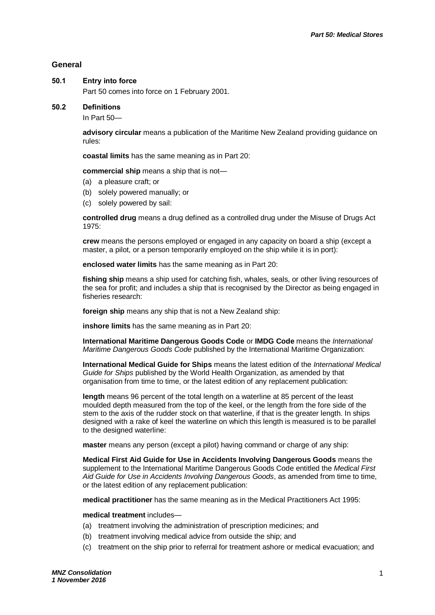#### **General**

#### **50.1 Entry into force**

Part 50 comes into force on 1 February 2001.

#### **50.2 Definitions**

In Part 50—

**advisory circular** means a publication of the Maritime New Zealand providing guidance on rules:

**coastal limits** has the same meaning as in Part 20:

**commercial ship** means a ship that is not—

- (a) a pleasure craft; or
- (b) solely powered manually; or
- (c) solely powered by sail:

**controlled drug** means a drug defined as a controlled drug under the Misuse of Drugs Act 1975:

**crew** means the persons employed or engaged in any capacity on board a ship (except a master, a pilot, or a person temporarily employed on the ship while it is in port):

**enclosed water limits** has the same meaning as in Part 20:

**fishing ship** means a ship used for catching fish, whales, seals, or other living resources of the sea for profit; and includes a ship that is recognised by the Director as being engaged in fisheries research:

**foreign ship** means any ship that is not a New Zealand ship:

**inshore limits** has the same meaning as in Part 20:

**International Maritime Dangerous Goods Code** or **IMDG Code** means the *International Maritime Dangerous Goods Code* published by the International Maritime Organization:

**International Medical Guide for Ships** means the latest edition of the *International Medical Guide for Ships* published by the World Health Organization, as amended by that organisation from time to time, or the latest edition of any replacement publication:

**length** means 96 percent of the total length on a waterline at 85 percent of the least moulded depth measured from the top of the keel, or the length from the fore side of the stem to the axis of the rudder stock on that waterline, if that is the greater length. In ships designed with a rake of keel the waterline on which this length is measured is to be parallel to the designed waterline:

**master** means any person (except a pilot) having command or charge of any ship:

**Medical First Aid Guide for Use in Accidents Involving Dangerous Goods** means the supplement to the International Maritime Dangerous Goods Code entitled the *Medical First Aid Guide for Use in Accidents Involving Dangerous Goods*, as amended from time to time, or the latest edition of any replacement publication:

**medical practitioner** has the same meaning as in the Medical Practitioners Act 1995:

**medical treatment** includes—

- (a) treatment involving the administration of prescription medicines; and
- (b) treatment involving medical advice from outside the ship; and
- (c) treatment on the ship prior to referral for treatment ashore or medical evacuation; and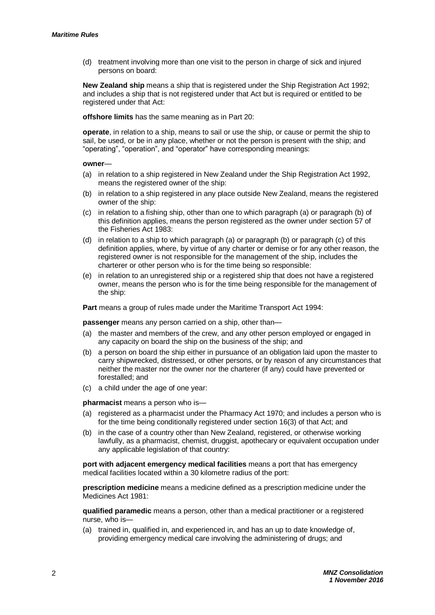(d) treatment involving more than one visit to the person in charge of sick and injured persons on board:

**New Zealand ship** means a ship that is registered under the Ship Registration Act 1992; and includes a ship that is not registered under that Act but is required or entitled to be registered under that Act:

**offshore limits** has the same meaning as in Part 20:

**operate**, in relation to a ship, means to sail or use the ship, or cause or permit the ship to sail, be used, or be in any place, whether or not the person is present with the ship; and "operating", "operation", and "operator" have corresponding meanings:

#### **owner**—

- (a) in relation to a ship registered in New Zealand under the Ship Registration Act 1992, means the registered owner of the ship:
- (b) in relation to a ship registered in any place outside New Zealand, means the registered owner of the ship:
- (c) in relation to a fishing ship, other than one to which paragraph (a) or paragraph (b) of this definition applies, means the person registered as the owner under section 57 of the Fisheries Act 1983:
- (d) in relation to a ship to which paragraph (a) or paragraph (b) or paragraph (c) of this definition applies, where, by virtue of any charter or demise or for any other reason, the registered owner is not responsible for the management of the ship, includes the charterer or other person who is for the time being so responsible:
- (e) in relation to an unregistered ship or a registered ship that does not have a registered owner, means the person who is for the time being responsible for the management of the ship:

**Part** means a group of rules made under the Maritime Transport Act 1994:

**passenger** means any person carried on a ship, other than—

- (a) the master and members of the crew, and any other person employed or engaged in any capacity on board the ship on the business of the ship; and
- (b) a person on board the ship either in pursuance of an obligation laid upon the master to carry shipwrecked, distressed, or other persons, or by reason of any circumstances that neither the master nor the owner nor the charterer (if any) could have prevented or forestalled; and
- (c) a child under the age of one year:

**pharmacist** means a person who is—

- (a) registered as a pharmacist under the Pharmacy Act 1970; and includes a person who is for the time being conditionally registered under section 16(3) of that Act; and
- (b) in the case of a country other than New Zealand, registered, or otherwise working lawfully, as a pharmacist, chemist, druggist, apothecary or equivalent occupation under any applicable legislation of that country:

**port with adjacent emergency medical facilities** means a port that has emergency medical facilities located within a 30 kilometre radius of the port:

**prescription medicine** means a medicine defined as a prescription medicine under the Medicines Act 1981:

**qualified paramedic** means a person, other than a medical practitioner or a registered nurse, who is—

(a) trained in, qualified in, and experienced in, and has an up to date knowledge of, providing emergency medical care involving the administering of drugs; and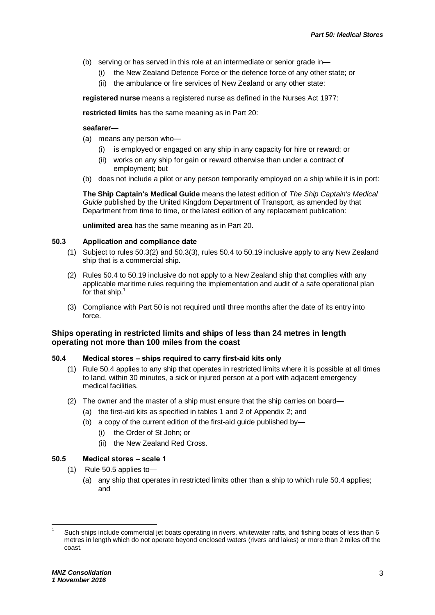- (b) serving or has served in this role at an intermediate or senior grade in—
	- (i) the New Zealand Defence Force or the defence force of any other state; or
	- (ii) the ambulance or fire services of New Zealand or any other state:

**registered nurse** means a registered nurse as defined in the Nurses Act 1977:

**restricted limits** has the same meaning as in Part 20:

#### **seafarer**—

- (a) means any person who—
	- (i) is employed or engaged on any ship in any capacity for hire or reward; or
	- (ii) works on any ship for gain or reward otherwise than under a contract of employment; but
- (b) does not include a pilot or any person temporarily employed on a ship while it is in port:

**The Ship Captain's Medical Guide** means the latest edition of *The Ship Captain's Medical Guide* published by the United Kingdom Department of Transport, as amended by that Department from time to time, or the latest edition of any replacement publication:

**unlimited area** has the same meaning as in Part 20.

#### **50.3 Application and compliance date**

- (1) Subject to rules 50.3(2) and 50.3(3), rules 50.4 to 50.19 inclusive apply to any New Zealand ship that is a commercial ship.
- (2) Rules 50.4 to 50.19 inclusive do not apply to a New Zealand ship that complies with any applicable maritime rules requiring the implementation and audit of a safe operational plan for that ship.<sup>1</sup>
- (3) Compliance with Part 50 is not required until three months after the date of its entry into force.

#### **Ships operating in restricted limits and ships of less than 24 metres in length operating not more than 100 miles from the coast**

#### **50.4 Medical stores – ships required to carry first-aid kits only**

- (1) Rule 50.4 applies to any ship that operates in restricted limits where it is possible at all times to land, within 30 minutes, a sick or injured person at a port with adjacent emergency medical facilities.
- (2) The owner and the master of a ship must ensure that the ship carries on board—
	- (a) the first-aid kits as specified in tables 1 and 2 of Appendix 2; and
	- (b) a copy of the current edition of the first-aid guide published by—
		- (i) the Order of St John; or
		- (ii) the New Zealand Red Cross.

#### **50.5 Medical stores – scale 1**

- (1) Rule 50.5 applies to—
	- (a) any ship that operates in restricted limits other than a ship to which rule 50.4 applies; and

 $\overline{\phantom{a}}$ 

<sup>1</sup> Such ships include commercial jet boats operating in rivers, whitewater rafts, and fishing boats of less than 6 metres in length which do not operate beyond enclosed waters (rivers and lakes) or more than 2 miles off the coast.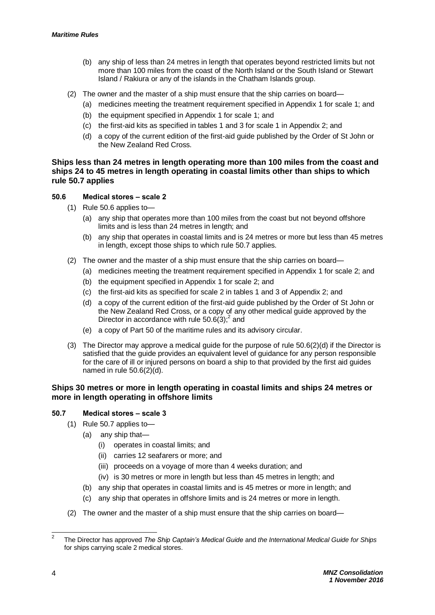- (b) any ship of less than 24 metres in length that operates beyond restricted limits but not more than 100 miles from the coast of the North Island or the South Island or Stewart Island / Rakiura or any of the islands in the Chatham Islands group.
- (2) The owner and the master of a ship must ensure that the ship carries on board—
	- (a) medicines meeting the treatment requirement specified in Appendix 1 for scale 1; and
	- (b) the equipment specified in Appendix 1 for scale 1; and
	- (c) the first-aid kits as specified in tables 1 and 3 for scale 1 in Appendix 2; and
	- (d) a copy of the current edition of the first-aid guide published by the Order of St John or the New Zealand Red Cross.

#### **Ships less than 24 metres in length operating more than 100 miles from the coast and ships 24 to 45 metres in length operating in coastal limits other than ships to which rule 50.7 applies**

#### **50.6 Medical stores – scale 2**

- (1) Rule 50.6 applies to—
	- (a) any ship that operates more than 100 miles from the coast but not beyond offshore limits and is less than 24 metres in length; and
	- (b) any ship that operates in coastal limits and is 24 metres or more but less than 45 metres in length, except those ships to which rule 50.7 applies.
- (2) The owner and the master of a ship must ensure that the ship carries on board—
	- (a) medicines meeting the treatment requirement specified in Appendix 1 for scale 2; and
	- (b) the equipment specified in Appendix 1 for scale 2; and
	- (c) the first-aid kits as specified for scale 2 in tables 1 and 3 of Appendix 2; and
	- (d) a copy of the current edition of the first-aid guide published by the Order of St John or the New Zealand Red Cross, or a copy of any other medical guide approved by the Director in accordance with rule  $50.6(3)$ ;<sup>2</sup> and
	- (e) a copy of Part 50 of the maritime rules and its advisory circular.
- (3) The Director may approve a medical guide for the purpose of rule 50.6(2)(d) if the Director is satisfied that the guide provides an equivalent level of guidance for any person responsible for the care of ill or injured persons on board a ship to that provided by the first aid guides named in rule 50.6(2)(d).

#### **Ships 30 metres or more in length operating in coastal limits and ships 24 metres or more in length operating in offshore limits**

#### **50.7 Medical stores – scale 3**

- (1) Rule 50.7 applies to—
	- (a) any ship that—
		- (i) operates in coastal limits; and
		- (ii) carries 12 seafarers or more; and
		- (iii) proceeds on a voyage of more than 4 weeks duration; and
		- (iv) is 30 metres or more in length but less than 45 metres in length; and
	- (b) any ship that operates in coastal limits and is 45 metres or more in length; and
	- (c) any ship that operates in offshore limits and is 24 metres or more in length.
- (2) The owner and the master of a ship must ensure that the ship carries on board—

<sup>&</sup>lt;sup>2</sup> The Director has approved *The Ship Captain's Medical Guide* and *the International Medical Guide for Ships* for ships carrying scale 2 medical stores.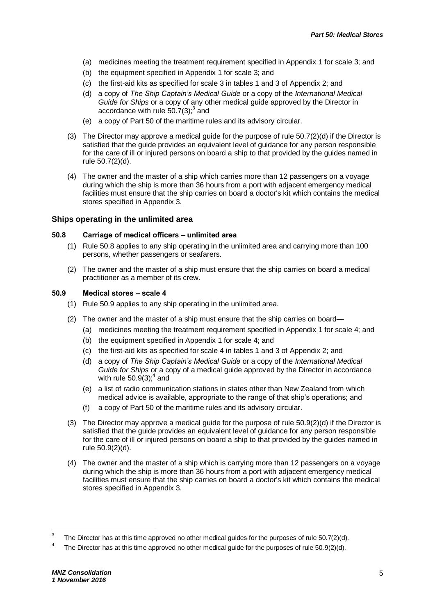- (a) medicines meeting the treatment requirement specified in Appendix 1 for scale 3; and
- (b) the equipment specified in Appendix 1 for scale 3; and
- (c) the first-aid kits as specified for scale 3 in tables 1 and 3 of Appendix 2; and
- (d) a copy of *The Ship Captain's Medical Guide* or a copy of the *International Medical Guide for Ships* or a copy of any other medical guide approved by the Director in accordance with rule  $50.7(3)$ ;<sup>3</sup> and
- (e) a copy of Part 50 of the maritime rules and its advisory circular.
- (3) The Director may approve a medical guide for the purpose of rule 50.7(2)(d) if the Director is satisfied that the guide provides an equivalent level of guidance for any person responsible for the care of ill or injured persons on board a ship to that provided by the guides named in rule 50.7(2)(d).
- (4) The owner and the master of a ship which carries more than 12 passengers on a voyage during which the ship is more than 36 hours from a port with adjacent emergency medical facilities must ensure that the ship carries on board a doctor's kit which contains the medical stores specified in Appendix 3.

#### **Ships operating in the unlimited area**

#### **50.8 Carriage of medical officers – unlimited area**

- (1) Rule 50.8 applies to any ship operating in the unlimited area and carrying more than 100 persons, whether passengers or seafarers.
- (2) The owner and the master of a ship must ensure that the ship carries on board a medical practitioner as a member of its crew.

#### **50.9 Medical stores – scale 4**

- (1) Rule 50.9 applies to any ship operating in the unlimited area.
- (2) The owner and the master of a ship must ensure that the ship carries on board—
	- (a) medicines meeting the treatment requirement specified in Appendix 1 for scale 4; and
	- (b) the equipment specified in Appendix 1 for scale 4; and
	- (c) the first-aid kits as specified for scale 4 in tables 1 and 3 of Appendix 2; and
	- (d) a copy of *The Ship Captain's Medical Guide* or a copy of the *International Medical Guide for Ships* or a copy of a medical guide approved by the Director in accordance with rule  $50.9(3)$ ;<sup>4</sup> and
	- (e) a list of radio communication stations in states other than New Zealand from which medical advice is available, appropriate to the range of that ship's operations; and
	- (f) a copy of Part 50 of the maritime rules and its advisory circular.
- (3) The Director may approve a medical guide for the purpose of rule 50.9(2)(d) if the Director is satisfied that the guide provides an equivalent level of guidance for any person responsible for the care of ill or injured persons on board a ship to that provided by the guides named in rule 50.9(2)(d).
- (4) The owner and the master of a ship which is carrying more than 12 passengers on a voyage during which the ship is more than 36 hours from a port with adjacent emergency medical facilities must ensure that the ship carries on board a doctor's kit which contains the medical stores specified in Appendix 3.

 3 The Director has at this time approved no other medical guides for the purposes of rule 50.7(2)(d).

<sup>4</sup> The Director has at this time approved no other medical guide for the purposes of rule 50.9(2)(d).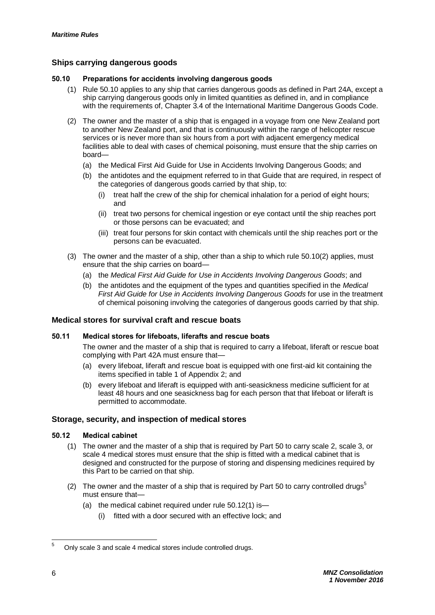#### **Ships carrying dangerous goods**

#### **50.10 Preparations for accidents involving dangerous goods**

- (1) Rule 50.10 applies to any ship that carries dangerous goods as defined in Part 24A, except a ship carrying dangerous goods only in limited quantities as defined in, and in compliance with the requirements of, Chapter 3.4 of the International Maritime Dangerous Goods Code.
- (2) The owner and the master of a ship that is engaged in a voyage from one New Zealand port to another New Zealand port, and that is continuously within the range of helicopter rescue services or is never more than six hours from a port with adjacent emergency medical facilities able to deal with cases of chemical poisoning, must ensure that the ship carries on board—
	- (a) the Medical First Aid Guide for Use in Accidents Involving Dangerous Goods; and
	- (b) the antidotes and the equipment referred to in that Guide that are required, in respect of the categories of dangerous goods carried by that ship, to:
		- (i) treat half the crew of the ship for chemical inhalation for a period of eight hours; and
		- (ii) treat two persons for chemical ingestion or eye contact until the ship reaches port or those persons can be evacuated; and
		- (iii) treat four persons for skin contact with chemicals until the ship reaches port or the persons can be evacuated.
- (3) The owner and the master of a ship, other than a ship to which rule 50.10(2) applies, must ensure that the ship carries on board—
	- (a) the *Medical First Aid Guide for Use in Accidents Involving Dangerous Goods*; and
	- (b) the antidotes and the equipment of the types and quantities specified in the *Medical First Aid Guide for Use in Accidents Involving Dangerous Goods* for use in the treatment of chemical poisoning involving the categories of dangerous goods carried by that ship.

#### **Medical stores for survival craft and rescue boats**

#### **50.11 Medical stores for lifeboats, liferafts and rescue boats**

The owner and the master of a ship that is required to carry a lifeboat, liferaft or rescue boat complying with Part 42A must ensure that—

- (a) every lifeboat, liferaft and rescue boat is equipped with one first-aid kit containing the items specified in table 1 of Appendix 2; and
- (b) every lifeboat and liferaft is equipped with anti-seasickness medicine sufficient for at least 48 hours and one seasickness bag for each person that that lifeboat or liferaft is permitted to accommodate.

#### **Storage, security, and inspection of medical stores**

#### **50.12 Medical cabinet**

- (1) The owner and the master of a ship that is required by Part 50 to carry scale 2, scale 3, or scale 4 medical stores must ensure that the ship is fitted with a medical cabinet that is designed and constructed for the purpose of storing and dispensing medicines required by this Part to be carried on that ship.
- (2) The owner and the master of a ship that is required by Part 50 to carry controlled drugs<sup>5</sup> must ensure that—
	- (a) the medical cabinet required under rule 50.12(1) is—
		- (i) fitted with a door secured with an effective lock; and

l

<sup>5</sup> Only scale 3 and scale 4 medical stores include controlled drugs.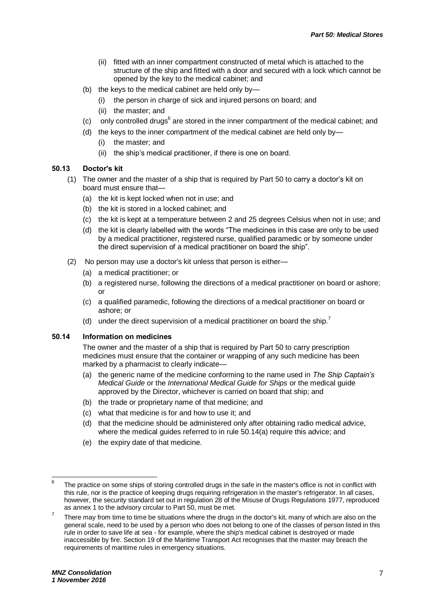- (ii) fitted with an inner compartment constructed of metal which is attached to the structure of the ship and fitted with a door and secured with a lock which cannot be opened by the key to the medical cabinet; and
- (b) the keys to the medical cabinet are held only by—
	- (i) the person in charge of sick and injured persons on board; and
	- (ii) the master; and
- $(c)$  only controlled drugs $<sup>6</sup>$  are stored in the inner compartment of the medical cabinet; and</sup>
- (d) the keys to the inner compartment of the medical cabinet are held only by—
	- (i) the master; and
	- (ii) the ship's medical practitioner, if there is one on board.

#### **50.13 Doctor's kit**

- (1) The owner and the master of a ship that is required by Part 50 to carry a doctor's kit on board must ensure that—
	- (a) the kit is kept locked when not in use; and
	- (b) the kit is stored in a locked cabinet; and
	- (c) the kit is kept at a temperature between 2 and 25 degrees Celsius when not in use; and
	- (d) the kit is clearly labelled with the words "The medicines in this case are only to be used by a medical practitioner, registered nurse, qualified paramedic or by someone under the direct supervision of a medical practitioner on board the ship".
- (2) No person may use a doctor's kit unless that person is either—
	- (a) a medical practitioner; or
	- (b) a registered nurse, following the directions of a medical practitioner on board or ashore; or
	- (c) a qualified paramedic, following the directions of a medical practitioner on board or ashore; or
	- (d) under the direct supervision of a medical practitioner on board the ship.<sup>7</sup>

#### **50.14 Information on medicines**

The owner and the master of a ship that is required by Part 50 to carry prescription medicines must ensure that the container or wrapping of any such medicine has been marked by a pharmacist to clearly indicate—

- (a) the generic name of the medicine conforming to the name used in *The Ship Captain's Medical Guide* or the *International Medical Guide for Ships* or the medical guide approved by the Director, whichever is carried on board that ship; and
- (b) the trade or proprietary name of that medicine; and
- (c) what that medicine is for and how to use it; and
- (d) that the medicine should be administered only after obtaining radio medical advice, where the medical guides referred to in rule 50.14(a) require this advice; and
- (e) the expiry date of that medicine.

 6 The practice on some ships of storing controlled drugs in the safe in the master's office is not in conflict with this rule, nor is the practice of keeping drugs requiring refrigeration in the master's refrigerator. In all cases, however, the security standard set out in regulation 28 of the Misuse of Drugs Regulations 1977, reproduced as annex 1 to the advisory circular to Part 50, must be met.

<sup>7</sup> There may from time to time be situations where the drugs in the doctor's kit, many of which are also on the general scale, need to be used by a person who does not belong to one of the classes of person listed in this rule in order to save life at sea - for example, where the ship's medical cabinet is destroyed or made inaccessible by fire. Section 19 of the Maritime Transport Act recognises that the master may breach the requirements of maritime rules in emergency situations.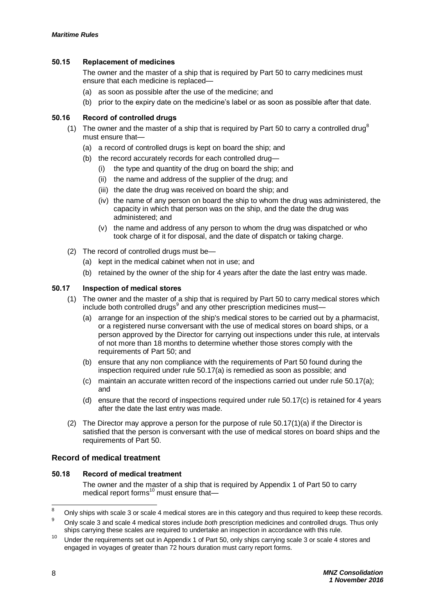#### **50.15 Replacement of medicines**

The owner and the master of a ship that is required by Part 50 to carry medicines must ensure that each medicine is replaced—

- (a) as soon as possible after the use of the medicine; and
- (b) prior to the expiry date on the medicine's label or as soon as possible after that date.

#### **50.16 Record of controlled drugs**

- (1) The owner and the master of a ship that is required by Part 50 to carry a controlled drug<sup>8</sup> must ensure that—
	- (a) a record of controlled drugs is kept on board the ship; and
	- (b) the record accurately records for each controlled drug—
		- (i) the type and quantity of the drug on board the ship; and
		- (ii) the name and address of the supplier of the drug; and
		- (iii) the date the drug was received on board the ship; and
		- (iv) the name of any person on board the ship to whom the drug was administered, the capacity in which that person was on the ship, and the date the drug was administered; and
		- (v) the name and address of any person to whom the drug was dispatched or who took charge of it for disposal, and the date of dispatch or taking charge.
- (2) The record of controlled drugs must be—
	- (a) kept in the medical cabinet when not in use; and
	- (b) retained by the owner of the ship for 4 years after the date the last entry was made.

#### **50.17 Inspection of medical stores**

- (1) The owner and the master of a ship that is required by Part 50 to carry medical stores which include both controlled drugs<sup>9</sup> and any other prescription medicines must-
	- (a) arrange for an inspection of the ship's medical stores to be carried out by a pharmacist, or a registered nurse conversant with the use of medical stores on board ships, or a person approved by the Director for carrying out inspections under this rule, at intervals of not more than 18 months to determine whether those stores comply with the requirements of Part 50; and
	- (b) ensure that any non compliance with the requirements of Part 50 found during the inspection required under rule 50.17(a) is remedied as soon as possible; and
	- (c) maintain an accurate written record of the inspections carried out under rule 50.17(a); and
	- (d) ensure that the record of inspections required under rule 50.17(c) is retained for 4 years after the date the last entry was made.
- (2) The Director may approve a person for the purpose of rule 50.17(1)(a) if the Director is satisfied that the person is conversant with the use of medical stores on board ships and the requirements of Part 50.

#### **Record of medical treatment**

#### **50.18 Record of medical treatment**

The owner and the master of a ship that is required by Appendix 1 of Part 50 to carry medical report forms<sup>10</sup> must ensure that-

 $\mathbf{a}$ Only ships with scale 3 or scale 4 medical stores are in this category and thus required to keep these records.

<sup>9</sup> Only scale 3 and scale 4 medical stores include *both* prescription medicines and controlled drugs. Thus only ships carrying these scales are required to undertake an inspection in accordance with this rule.

 $10$  Under the requirements set out in Appendix 1 of Part 50, only ships carrying scale 3 or scale 4 stores and engaged in voyages of greater than 72 hours duration must carry report forms.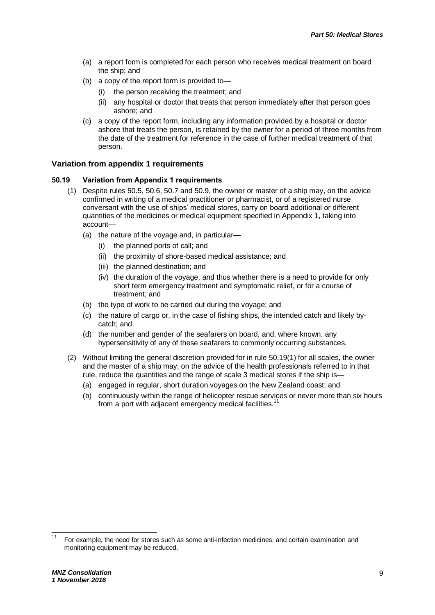- (a) a report form is completed for each person who receives medical treatment on board the ship; and
- (b) a copy of the report form is provided to
	- the person receiving the treatment; and
	- (ii) any hospital or doctor that treats that person immediately after that person goes ashore; and
- (c) a copy of the report form, including any information provided by a hospital or doctor ashore that treats the person, is retained by the owner for a period of three months from the date of the treatment for reference in the case of further medical treatment of that person.

#### **Variation from appendix 1 requirements**

#### **50.19 Variation from Appendix 1 requirements**

- (1) Despite rules 50.5, 50.6, 50.7 and 50.9, the owner or master of a ship may, on the advice confirmed in writing of a medical practitioner or pharmacist, or of a registered nurse conversant with the use of ships' medical stores, carry on board additional or different quantities of the medicines or medical equipment specified in Appendix 1, taking into account—
	- (a) the nature of the voyage and, in particular—
		- (i) the planned ports of call; and
		- (ii) the proximity of shore-based medical assistance; and
		- (iii) the planned destination; and
		- (iv) the duration of the voyage, and thus whether there is a need to provide for only short term emergency treatment and symptomatic relief, or for a course of treatment; and
	- (b) the type of work to be carried out during the voyage; and
	- (c) the nature of cargo or, in the case of fishing ships, the intended catch and likely bycatch; and
	- (d) the number and gender of the seafarers on board, and, where known, any hypersensitivity of any of these seafarers to commonly occurring substances.
- (2) Without limiting the general discretion provided for in rule 50.19(1) for all scales, the owner and the master of a ship may, on the advice of the health professionals referred to in that rule, reduce the quantities and the range of scale 3 medical stores if the ship is—
	- (a) engaged in regular, short duration voyages on the New Zealand coast; and
	- (b) continuously within the range of helicopter rescue services or never more than six hours from a port with adjacent emergency medical facilities.<sup>11</sup>

 $\overline{\phantom{a}}$ 

<sup>11</sup> For example, the need for stores such as some anti-infection medicines, and certain examination and monitoring equipment may be reduced.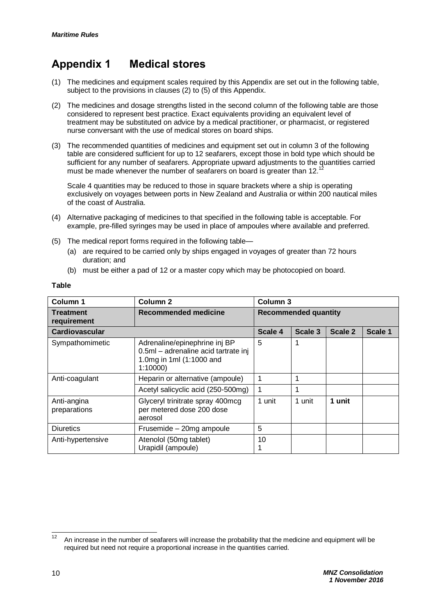## **Appendix 1 Medical stores**

- (1) The medicines and equipment scales required by this Appendix are set out in the following table, subject to the provisions in clauses (2) to (5) of this Appendix.
- (2) The medicines and dosage strengths listed in the second column of the following table are those considered to represent best practice. Exact equivalents providing an equivalent level of treatment may be substituted on advice by a medical practitioner, or pharmacist, or registered nurse conversant with the use of medical stores on board ships.
- (3) The recommended quantities of medicines and equipment set out in column 3 of the following table are considered sufficient for up to 12 seafarers, except those in bold type which should be sufficient for any number of seafarers. Appropriate upward adjustments to the quantities carried must be made whenever the number of seafarers on board is greater than 12.<sup>1</sup>

Scale 4 quantities may be reduced to those in square brackets where a ship is operating exclusively on voyages between ports in New Zealand and Australia or within 200 nautical miles of the coast of Australia.

- (4) Alternative packaging of medicines to that specified in the following table is acceptable. For example, pre-filled syringes may be used in place of ampoules where available and preferred.
- (5) The medical report forms required in the following table—
	- (a) are required to be carried only by ships engaged in voyages of greater than 72 hours duration; and
	- (b) must be either a pad of 12 or a master copy which may be photocopied on board.

| Column 1                    | Column <sub>2</sub>                                                                                          | Column 3                    |         |         |         |
|-----------------------------|--------------------------------------------------------------------------------------------------------------|-----------------------------|---------|---------|---------|
| Treatment<br>requirement    | Recommended medicine                                                                                         | <b>Recommended quantity</b> |         |         |         |
| Cardiovascular              |                                                                                                              | Scale 4                     | Scale 3 | Scale 2 | Scale 1 |
| Sympathomimetic             | Adrenaline/epinephrine inj BP<br>0.5ml - adrenaline acid tartrate inj<br>1.0mg in 1ml (1:1000 and<br>1:10000 | 5                           |         |         |         |
| Anti-coagulant              | Heparin or alternative (ampoule)                                                                             |                             |         |         |         |
|                             | Acetyl salicyclic acid (250-500mg)                                                                           |                             | 4       |         |         |
| Anti-angina<br>preparations | Glyceryl trinitrate spray 400mcg<br>per metered dose 200 dose<br>aerosol                                     | 1 unit                      | 1 unit  | 1 unit  |         |
| <b>Diuretics</b>            | Frusemide - 20mg ampoule                                                                                     | 5                           |         |         |         |
| Anti-hypertensive           | Atenolol (50mg tablet)<br>Urapidil (ampoule)                                                                 | 10                          |         |         |         |

#### **Table**

 $12$ <sup>12</sup> An increase in the number of seafarers will increase the probability that the medicine and equipment will be required but need not require a proportional increase in the quantities carried.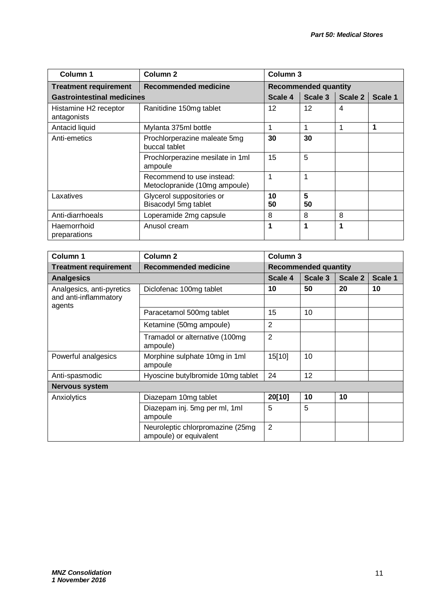| Column 1                             | Column <sub>2</sub>                                        | Column <sub>3</sub>         |         |         |         |
|--------------------------------------|------------------------------------------------------------|-----------------------------|---------|---------|---------|
| <b>Treatment requirement</b>         | <b>Recommended medicine</b>                                | <b>Recommended quantity</b> |         |         |         |
| <b>Gastrointestinal medicines</b>    |                                                            | Scale 4                     | Scale 3 | Scale 2 | Scale 1 |
| Histamine H2 receptor<br>antagonists | Ranitidine 150mg tablet                                    | 12                          | 12      | 4       |         |
| Antacid liquid                       | Mylanta 375ml bottle                                       |                             |         | 1       | 1       |
| Anti-emetics                         | Prochlorperazine maleate 5mg<br>buccal tablet              | 30                          | 30      |         |         |
|                                      | Prochlorperazine mesilate in 1ml<br>ampoule                | 15                          | 5       |         |         |
|                                      | Recommend to use instead:<br>Metoclopranide (10mg ampoule) | 1                           | 1       |         |         |
| Laxatives                            | Glycerol suppositories or<br>Bisacodyl 5mg tablet          | 10<br>50                    | 5<br>50 |         |         |
| Anti-diarrhoeals                     | Loperamide 2mg capsule                                     | 8                           | 8       | 8       |         |
| Haemorrhoid<br>preparations          | Anusol cream                                               | 1                           | 1       | 1       |         |

| Column 1                                                     | Column <sub>2</sub>                                        |                | Column <sub>3</sub>         |         |         |  |
|--------------------------------------------------------------|------------------------------------------------------------|----------------|-----------------------------|---------|---------|--|
| <b>Treatment requirement</b>                                 | <b>Recommended medicine</b>                                |                | <b>Recommended quantity</b> |         |         |  |
| <b>Analgesics</b>                                            |                                                            | Scale 4        | Scale 3                     | Scale 2 | Scale 1 |  |
| Analgesics, anti-pyretics<br>and anti-inflammatory<br>agents | Diclofenac 100mg tablet                                    | 10             | 50                          | 20      | 10      |  |
|                                                              |                                                            |                |                             |         |         |  |
|                                                              | Paracetamol 500mg tablet                                   | 15             | 10                          |         |         |  |
|                                                              | Ketamine (50mg ampoule)                                    | $\overline{2}$ |                             |         |         |  |
|                                                              | Tramadol or alternative (100mg<br>ampoule)                 | $\overline{2}$ |                             |         |         |  |
| Powerful analgesics                                          | Morphine sulphate 10mg in 1ml<br>ampoule                   | 15[10]         | 10                          |         |         |  |
| Anti-spasmodic                                               | Hyoscine butylbromide 10mg tablet                          | 24             | 12                          |         |         |  |
| <b>Nervous system</b>                                        |                                                            |                |                             |         |         |  |
| Anxiolytics                                                  | Diazepam 10mg tablet                                       | 20[10]         | 10                          | 10      |         |  |
|                                                              | Diazepam inj. 5mg per ml, 1ml<br>ampoule                   | 5              | 5                           |         |         |  |
|                                                              | Neuroleptic chlorpromazine (25mg<br>ampoule) or equivalent | $\overline{2}$ |                             |         |         |  |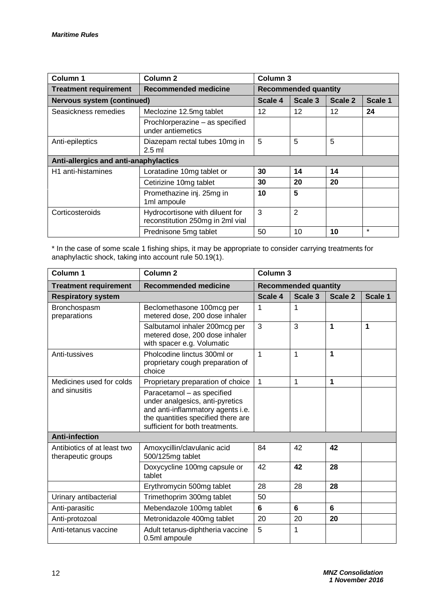| Column 1                              | Column <sub>2</sub>                                                 | Column 3                    |         |         |         |
|---------------------------------------|---------------------------------------------------------------------|-----------------------------|---------|---------|---------|
| <b>Treatment requirement</b>          | Recommended medicine                                                | <b>Recommended quantity</b> |         |         |         |
| <b>Nervous system (continued)</b>     |                                                                     | Scale 4                     | Scale 3 | Scale 2 | Scale 1 |
| Seasickness remedies                  | Meclozine 12.5mg tablet                                             | 12                          | 12      | 12      | 24      |
|                                       | Prochlorperazine - as specified<br>under antiemetics                |                             |         |         |         |
| Anti-epileptics                       | Diazepam rectal tubes 10mg in<br>$2.5$ ml                           | 5                           | 5       | 5       |         |
| Anti-allergics and anti-anaphylactics |                                                                     |                             |         |         |         |
| H <sub>1</sub> anti-histamines        | Loratadine 10mg tablet or                                           | 30                          | 14      | 14      |         |
|                                       | Cetirizine 10mg tablet                                              | 30                          | 20      | 20      |         |
|                                       | Promethazine inj. 25mg in<br>1ml ampoule                            | 10                          | 5       |         |         |
| Corticosteroids                       | Hydrocortisone with diluent for<br>reconstitution 250mg in 2ml vial | 3                           | 2       |         |         |
|                                       | Prednisone 5mg tablet                                               | 50                          | 10      | 10      | $\star$ |

\* In the case of some scale 1 fishing ships, it may be appropriate to consider carrying treatments for anaphylactic shock, taking into account rule 50.19(1).

| Column <sub>1</sub>                               | Column <sub>2</sub>                                                                                                                                                         | Column <sub>3</sub> |                             |         |         |
|---------------------------------------------------|-----------------------------------------------------------------------------------------------------------------------------------------------------------------------------|---------------------|-----------------------------|---------|---------|
| <b>Treatment requirement</b>                      | <b>Recommended medicine</b>                                                                                                                                                 |                     | <b>Recommended quantity</b> |         |         |
| <b>Respiratory system</b>                         |                                                                                                                                                                             | Scale 4             | Scale 3                     | Scale 2 | Scale 1 |
| Bronchospasm<br>preparations                      | Beclomethasone 100mcg per<br>metered dose, 200 dose inhaler                                                                                                                 | 1                   | 1                           |         |         |
|                                                   | Salbutamol inhaler 200mcg per<br>metered dose, 200 dose inhaler<br>with spacer e.g. Volumatic                                                                               | 3                   | 3                           | 1       | 1       |
| Anti-tussives                                     | Pholcodine linctus 300ml or<br>proprietary cough preparation of<br>choice                                                                                                   | 1                   | 1                           | 1       |         |
| Medicines used for colds                          | Proprietary preparation of choice                                                                                                                                           | $\overline{1}$      | 1                           | 1       |         |
| and sinusitis                                     | Paracetamol - as specified<br>under analgesics, anti-pyretics<br>and anti-inflammatory agents i.e.<br>the quantities specified there are<br>sufficient for both treatments. |                     |                             |         |         |
| <b>Anti-infection</b>                             |                                                                                                                                                                             |                     |                             |         |         |
| Antibiotics of at least two<br>therapeutic groups | Amoxycillin/clavulanic acid<br>500/125mg tablet                                                                                                                             | 84                  | 42                          | 42      |         |
|                                                   | Doxycycline 100mg capsule or<br>tablet                                                                                                                                      | 42                  | 42                          | 28      |         |
|                                                   | Erythromycin 500mg tablet                                                                                                                                                   | 28                  | 28                          | 28      |         |
| Urinary antibacterial                             | Trimethoprim 300mg tablet                                                                                                                                                   | 50                  |                             |         |         |
| Anti-parasitic                                    | Mebendazole 100mg tablet                                                                                                                                                    | 6                   | 6                           | 6       |         |
| Anti-protozoal                                    | Metronidazole 400mg tablet                                                                                                                                                  | 20                  | 20                          | 20      |         |
| Anti-tetanus vaccine                              | Adult tetanus-diphtheria vaccine<br>0.5ml ampoule                                                                                                                           | 5                   | 1                           |         |         |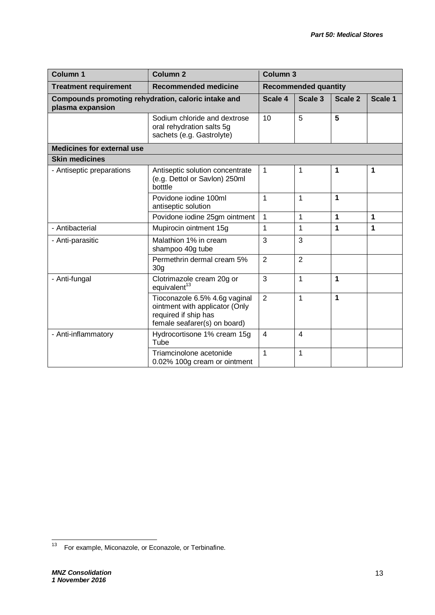| <b>Column 1</b>                                                         | <b>Column 2</b>                                                                                                         | Column <sub>3</sub> |                             |         |         |
|-------------------------------------------------------------------------|-------------------------------------------------------------------------------------------------------------------------|---------------------|-----------------------------|---------|---------|
| <b>Treatment requirement</b>                                            | <b>Recommended medicine</b>                                                                                             |                     | <b>Recommended quantity</b> |         |         |
| Compounds promoting rehydration, caloric intake and<br>plasma expansion |                                                                                                                         | Scale 4             | Scale 3                     | Scale 2 | Scale 1 |
|                                                                         | Sodium chloride and dextrose<br>oral rehydration salts 5g<br>sachets (e.g. Gastrolyte)                                  | 10                  | 5                           | 5       |         |
| <b>Medicines for external use</b>                                       |                                                                                                                         |                     |                             |         |         |
| <b>Skin medicines</b>                                                   |                                                                                                                         |                     |                             |         |         |
| - Antiseptic preparations                                               | Antiseptic solution concentrate<br>(e.g. Dettol or Savlon) 250ml<br>botttle                                             | $\overline{1}$      | 1                           | 1       | 1       |
|                                                                         | Povidone jodine 100ml<br>antiseptic solution                                                                            | 1                   | 1                           | 1       |         |
|                                                                         | Povidone iodine 25gm ointment                                                                                           | $\mathbf 1$         | 1                           | 1       | 1       |
| - Antibacterial                                                         | Mupirocin ointment 15g                                                                                                  | 1                   | 1                           | 1       | 1       |
| - Anti-parasitic                                                        | Malathion 1% in cream<br>shampoo 40g tube                                                                               | 3                   | 3                           |         |         |
|                                                                         | Permethrin dermal cream 5%<br>30 <sub>q</sub>                                                                           | $\overline{2}$      | $\overline{2}$              |         |         |
| - Anti-fungal                                                           | Clotrimazole cream 20g or<br>equivalent <sup>13</sup>                                                                   | 3                   | 1                           | 1       |         |
|                                                                         | Tioconazole 6.5% 4.6g vaginal<br>ointment with applicator (Only<br>required if ship has<br>female seafarer(s) on board) | $\overline{2}$      | 1                           | 1       |         |
| - Anti-inflammatory                                                     | Hydrocortisone 1% cream 15g<br>Tube                                                                                     | $\overline{4}$      | 4                           |         |         |
|                                                                         | Triamcinolone acetonide<br>0.02% 100g cream or ointment                                                                 | 1                   | 1                           |         |         |

 $\frac{1}{13}$ For example, Miconazole, or Econazole, or Terbinafine.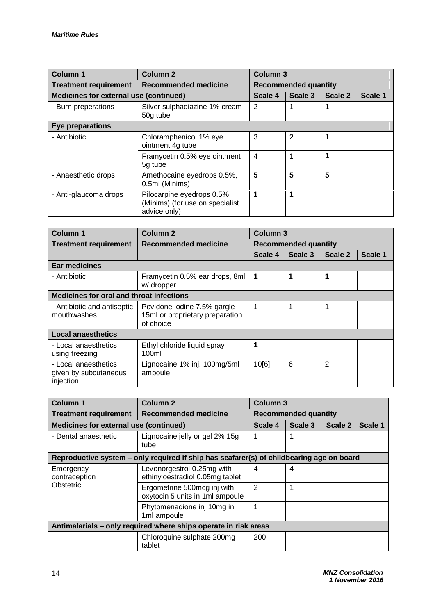| <b>Column 1</b>                                             | Column <sub>2</sub>                                                          | <b>Column 3</b> |                             |         |         |  |
|-------------------------------------------------------------|------------------------------------------------------------------------------|-----------------|-----------------------------|---------|---------|--|
| <b>Recommended medicine</b><br><b>Treatment requirement</b> |                                                                              |                 | <b>Recommended quantity</b> |         |         |  |
| Medicines for external use (continued)                      |                                                                              | Scale 4         | Scale 3                     | Scale 2 | Scale 1 |  |
| - Burn preperations                                         | Silver sulphadiazine 1% cream<br>50g tube                                    | 2               | 1                           | 1       |         |  |
| Eye preparations                                            |                                                                              |                 |                             |         |         |  |
| - Antibiotic                                                | Chloramphenicol 1% eye<br>ointment 4g tube                                   | 3               | $\overline{2}$              | 1       |         |  |
|                                                             | Framycetin 0.5% eye ointment<br>5g tube                                      | $\overline{4}$  | 1                           | 1       |         |  |
| - Anaesthetic drops                                         | Amethocaine eyedrops 0.5%,<br>0.5ml (Minims)                                 | 5               | 5                           | 5       |         |  |
| - Anti-glaucoma drops                                       | Pilocarpine eyedrops 0.5%<br>(Minims) (for use on specialist<br>advice only) | 1               | 1                           |         |         |  |

| <b>Column 1</b>                                            | Column <sub>2</sub>                                                         | Column 3                    |         |         |         |
|------------------------------------------------------------|-----------------------------------------------------------------------------|-----------------------------|---------|---------|---------|
| <b>Treatment requirement</b>                               | Recommended medicine                                                        | <b>Recommended quantity</b> |         |         |         |
|                                                            |                                                                             | Scale 4                     | Scale 3 | Scale 2 | Scale 1 |
| <b>Ear medicines</b>                                       |                                                                             |                             |         |         |         |
| - Antibiotic                                               | Framycetin 0.5% ear drops, 8ml<br>w/ dropper                                | 1                           | 1       | 1       |         |
| <b>Medicines for oral and throat infections</b>            |                                                                             |                             |         |         |         |
| - Antibiotic and antiseptic<br>mouthwashes                 | Povidone iodine 7.5% gargle<br>15ml or proprietary preparation<br>of choice | 1                           | 1       | 1       |         |
| <b>Local anaesthetics</b>                                  |                                                                             |                             |         |         |         |
| - Local anaesthetics<br>using freezing                     | Ethyl chloride liquid spray<br>100ml                                        | 1                           |         |         |         |
| - Local anaesthetics<br>given by subcutaneous<br>injection | Lignocaine 1% inj. 100mg/5ml<br>ampoule                                     | 10[6]                       | 6       | 2       |         |

| <b>Column 1</b>                               | <b>Column 2</b>                                                                          | <b>Column 3</b>             |         |         |         |
|-----------------------------------------------|------------------------------------------------------------------------------------------|-----------------------------|---------|---------|---------|
| <b>Treatment requirement</b>                  | <b>Recommended medicine</b>                                                              | <b>Recommended quantity</b> |         |         |         |
| <b>Medicines for external use (continued)</b> |                                                                                          | Scale 4                     | Scale 3 | Scale 2 | Scale 1 |
| - Dental anaesthetic                          | Lignocaine jelly or gel 2% 15g<br>tube                                                   | 1                           |         |         |         |
|                                               | Reproductive system – only required if ship has seafarer(s) of childbearing age on board |                             |         |         |         |
| Emergency<br>contraception                    | Levonorgestrol 0.25mg with<br>ethinyloestradiol 0.05mg tablet                            | 4                           | 4       |         |         |
| Obstetric                                     | Ergometrine 500mcg inj with<br>oxytocin 5 units in 1ml ampoule                           | 2                           |         |         |         |
|                                               | Phytomenadione inj 10mg in<br>1ml ampoule                                                | 1                           |         |         |         |
|                                               | Antimalarials - only required where ships operate in risk areas                          |                             |         |         |         |
|                                               | Chloroquine sulphate 200mg<br>tablet                                                     | 200                         |         |         |         |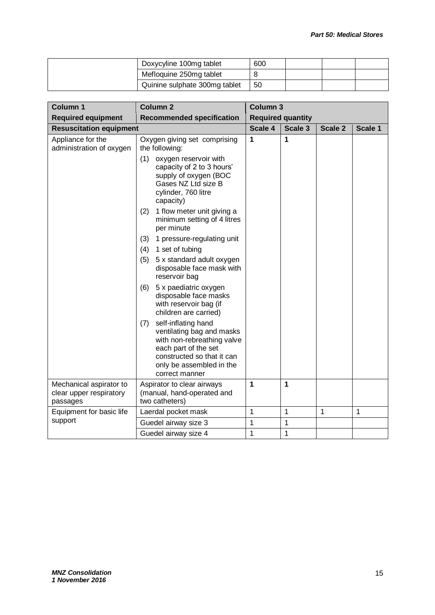| Doxycyline 100mg tablet       | 600 |  |  |
|-------------------------------|-----|--|--|
| Mefloquine 250mg tablet       |     |  |  |
| Quinine sulphate 300mg tablet | 50  |  |  |

| Column 1                                                       | <b>Column 2</b>                                                                                                                                                                           |              | Column 3                 |         |              |  |
|----------------------------------------------------------------|-------------------------------------------------------------------------------------------------------------------------------------------------------------------------------------------|--------------|--------------------------|---------|--------------|--|
| <b>Required equipment</b>                                      | <b>Recommended specification</b>                                                                                                                                                          |              | <b>Required quantity</b> |         |              |  |
| <b>Resuscitation equipment</b>                                 |                                                                                                                                                                                           | Scale 4      | Scale 3                  | Scale 2 | Scale 1      |  |
| Appliance for the<br>administration of oxygen                  | Oxygen giving set comprising<br>the following:                                                                                                                                            | 1            | 1                        |         |              |  |
|                                                                | (1)<br>oxygen reservoir with<br>capacity of 2 to 3 hours'<br>supply of oxygen (BOC<br>Gases NZ Ltd size B<br>cylinder, 760 litre<br>capacity)                                             |              |                          |         |              |  |
|                                                                | 1 flow meter unit giving a<br>(2)<br>minimum setting of 4 litres<br>per minute                                                                                                            |              |                          |         |              |  |
|                                                                | (3)<br>1 pressure-regulating unit                                                                                                                                                         |              |                          |         |              |  |
|                                                                | (4)<br>1 set of tubing                                                                                                                                                                    |              |                          |         |              |  |
|                                                                | (5)<br>5 x standard adult oxygen<br>disposable face mask with<br>reservoir bag                                                                                                            |              |                          |         |              |  |
|                                                                | 5 x paediatric oxygen<br>(6)<br>disposable face masks<br>with reservoir bag (if<br>children are carried)                                                                                  |              |                          |         |              |  |
|                                                                | self-inflating hand<br>(7)<br>ventilating bag and masks<br>with non-rebreathing valve<br>each part of the set<br>constructed so that it can<br>only be assembled in the<br>correct manner |              |                          |         |              |  |
| Mechanical aspirator to<br>clear upper respiratory<br>passages | Aspirator to clear airways<br>(manual, hand-operated and<br>two catheters)                                                                                                                | 1            | 1                        |         |              |  |
| Equipment for basic life                                       | Laerdal pocket mask                                                                                                                                                                       | $\mathbf{1}$ | $\mathbf 1$              | 1       | $\mathbf{1}$ |  |
| support                                                        | Guedel airway size 3                                                                                                                                                                      | 1            | 1                        |         |              |  |
|                                                                | Guedel airway size 4                                                                                                                                                                      | 1            | 1                        |         |              |  |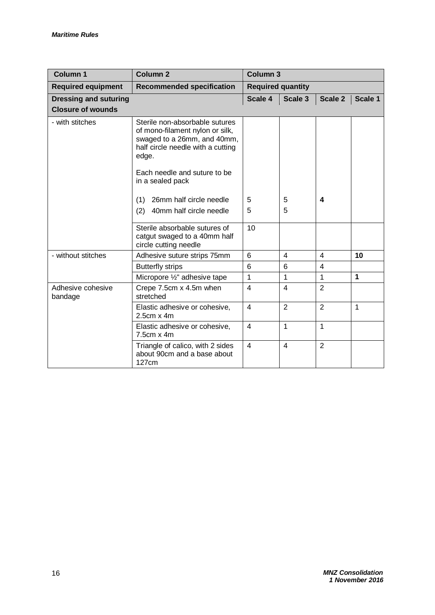| <b>Column 1</b>              | Column <sub>2</sub>                                                                                                                                                                                | Column <sub>3</sub>      |                |                |              |
|------------------------------|----------------------------------------------------------------------------------------------------------------------------------------------------------------------------------------------------|--------------------------|----------------|----------------|--------------|
| <b>Required equipment</b>    | <b>Recommended specification</b>                                                                                                                                                                   | <b>Required quantity</b> |                |                |              |
| <b>Dressing and suturing</b> |                                                                                                                                                                                                    | Scale 4                  | Scale 3        | Scale 2        | Scale 1      |
| <b>Closure of wounds</b>     |                                                                                                                                                                                                    |                          |                |                |              |
| - with stitches              | Sterile non-absorbable sutures<br>of mono-filament nylon or silk,<br>swaged to a 26mm, and 40mm,<br>half circle needle with a cutting<br>edge.<br>Each needle and suture to be<br>in a sealed pack |                          |                |                |              |
|                              |                                                                                                                                                                                                    |                          |                |                |              |
|                              | 26mm half circle needle<br>(1)                                                                                                                                                                     | 5                        | 5              | 4              |              |
|                              | (2)<br>40mm half circle needle                                                                                                                                                                     | 5                        | 5              |                |              |
|                              | Sterile absorbable sutures of<br>catgut swaged to a 40mm half<br>circle cutting needle                                                                                                             | 10                       |                |                |              |
| - without stitches           | Adhesive suture strips 75mm                                                                                                                                                                        | 6                        | 4              | 4              | 10           |
|                              | <b>Butterfly strips</b>                                                                                                                                                                            | 6                        | 6              | $\overline{4}$ |              |
|                              | Micropore 1/2" adhesive tape                                                                                                                                                                       | 1                        | $\mathbf{1}$   | $\mathbf{1}$   | $\mathbf{1}$ |
| Adhesive cohesive<br>bandage | Crepe 7.5cm x 4.5m when<br>stretched                                                                                                                                                               | $\overline{4}$           | $\overline{4}$ | $\overline{2}$ |              |
|                              | Elastic adhesive or cohesive,<br>$2.5cm \times 4m$                                                                                                                                                 | $\overline{4}$           | $\overline{2}$ | $\overline{2}$ | $\mathbf{1}$ |
|                              | Elastic adhesive or cohesive,<br>$7.5cm \times 4m$                                                                                                                                                 | $\overline{4}$           | 1              | $\mathbf{1}$   |              |
|                              | Triangle of calico, with 2 sides<br>about 90cm and a base about<br>127cm                                                                                                                           | $\overline{4}$           | $\overline{4}$ | $\overline{2}$ |              |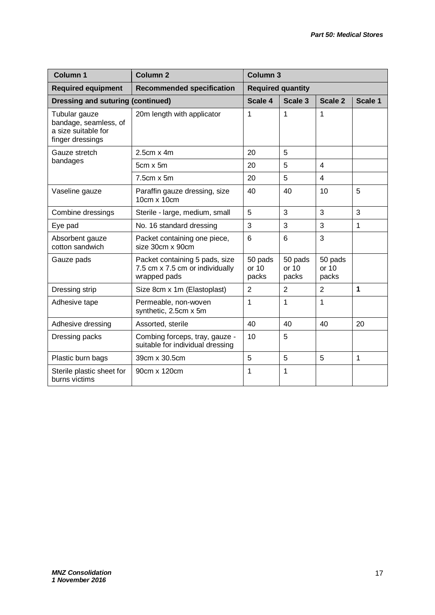| <b>Column 1</b>                                                                   | <b>Column 2</b>                                                                   | <b>Column 3</b>           |                           |                           |         |  |
|-----------------------------------------------------------------------------------|-----------------------------------------------------------------------------------|---------------------------|---------------------------|---------------------------|---------|--|
| <b>Required equipment</b>                                                         | <b>Recommended specification</b>                                                  |                           | <b>Required quantity</b>  |                           |         |  |
| <b>Dressing and suturing (continued)</b>                                          |                                                                                   | Scale 4                   | Scale 3                   | Scale 2                   | Scale 1 |  |
| Tubular gauze<br>bandage, seamless, of<br>a size suitable for<br>finger dressings | 20m length with applicator                                                        | $\mathbf 1$               | 1                         | 1                         |         |  |
| Gauze stretch                                                                     | $2.5cm \times 4m$                                                                 | 20                        | 5                         |                           |         |  |
| bandages                                                                          | $5cm \times 5m$                                                                   | 20                        | 5                         | $\overline{4}$            |         |  |
|                                                                                   | 7.5cm x 5m                                                                        | 20                        | 5                         | $\overline{4}$            |         |  |
| Vaseline gauze                                                                    | Paraffin gauze dressing, size<br>10cm x 10cm                                      | 40                        | 40                        | 10                        | 5       |  |
| Combine dressings                                                                 | Sterile - large, medium, small                                                    | 5                         | 3                         | 3                         | 3       |  |
| Eye pad                                                                           | No. 16 standard dressing                                                          | 3                         | 3                         | 3                         | 1       |  |
| Absorbent gauze<br>cotton sandwich                                                | Packet containing one piece,<br>size 30cm x 90cm                                  | 6                         | 6                         | 3                         |         |  |
| Gauze pads                                                                        | Packet containing 5 pads, size<br>7.5 cm x 7.5 cm or individually<br>wrapped pads | 50 pads<br>or 10<br>packs | 50 pads<br>or 10<br>packs | 50 pads<br>or 10<br>packs |         |  |
| Dressing strip                                                                    | Size 8cm x 1m (Elastoplast)                                                       | $\overline{2}$            | $\overline{2}$            | $\overline{2}$            | 1       |  |
| Adhesive tape                                                                     | Permeable, non-woven<br>synthetic, 2.5cm x 5m                                     | 1                         | 1                         | 1                         |         |  |
| Adhesive dressing                                                                 | Assorted, sterile                                                                 | 40                        | 40                        | 40                        | 20      |  |
| Dressing packs                                                                    | Combing forceps, tray, gauze -<br>suitable for individual dressing                | 10                        | 5                         |                           |         |  |
| Plastic burn bags                                                                 | 39cm x 30.5cm                                                                     | 5                         | 5                         | 5                         | 1       |  |
| Sterile plastic sheet for<br>burns victims                                        | 90cm x 120cm                                                                      | 1                         | 1                         |                           |         |  |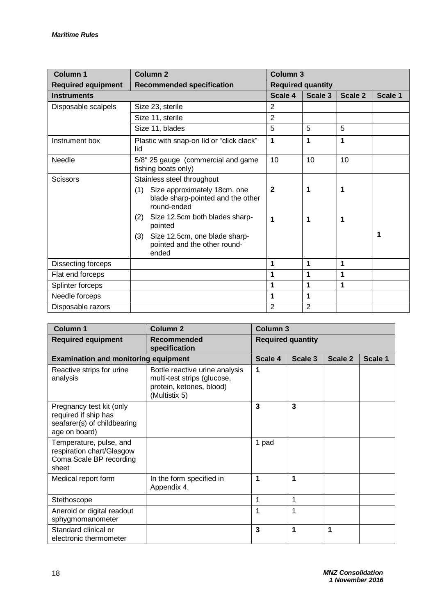| <b>Column 1</b>           | <b>Column 2</b>                                                                         | <b>Column 3</b> |                          |         |         |
|---------------------------|-----------------------------------------------------------------------------------------|-----------------|--------------------------|---------|---------|
| <b>Required equipment</b> | <b>Recommended specification</b>                                                        |                 | <b>Required quantity</b> |         |         |
| <b>Instruments</b>        |                                                                                         | Scale 4         | Scale 3                  | Scale 2 | Scale 1 |
| Disposable scalpels       | Size 23, sterile                                                                        | $\overline{2}$  |                          |         |         |
|                           | Size 11, sterile                                                                        | $\overline{2}$  |                          |         |         |
|                           | Size 11, blades                                                                         | 5               | 5                        | 5       |         |
| Instrument box            | Plastic with snap-on lid or "click clack"<br>lid                                        | 1               | 1                        | 1       |         |
| Needle                    | 5/8" 25 gauge (commercial and game<br>fishing boats only)                               | 10              | 10                       | 10      |         |
| <b>Scissors</b>           | Stainless steel throughout                                                              |                 |                          |         |         |
|                           | Size approximately 18cm, one<br>(1)<br>blade sharp-pointed and the other<br>round-ended | $\mathbf{2}$    | 1                        | 1       |         |
|                           | Size 12.5cm both blades sharp-<br>(2)<br>pointed                                        | 1               | 1                        | 1       |         |
|                           | (3)<br>Size 12.5cm, one blade sharp-<br>pointed and the other round-<br>ended           |                 |                          |         | 1       |
| Dissecting forceps        |                                                                                         | 1               | 1                        | 1       |         |
| Flat end forceps          |                                                                                         | 1               | 1                        | 1       |         |
| Splinter forceps          |                                                                                         | 1               | 1                        | 1       |         |
| Needle forceps            |                                                                                         | 1               | 1                        |         |         |
| Disposable razors         |                                                                                         | $\overline{2}$  | $\overline{2}$           |         |         |

| <b>Column 1</b>                                                                                  | Column <sub>2</sub>                                                                                        | <b>Column 3</b> |                          |         |         |  |
|--------------------------------------------------------------------------------------------------|------------------------------------------------------------------------------------------------------------|-----------------|--------------------------|---------|---------|--|
| <b>Required equipment</b>                                                                        | Recommended<br>specification                                                                               |                 | <b>Required quantity</b> |         |         |  |
| <b>Examination and monitoring equipment</b>                                                      |                                                                                                            | Scale 4         | Scale 3                  | Scale 2 | Scale 1 |  |
| Reactive strips for urine<br>analysis                                                            | Bottle reactive urine analysis<br>multi-test strips (glucose,<br>protein, ketones, blood)<br>(Multistix 5) | 1               |                          |         |         |  |
| Pregnancy test kit (only<br>required if ship has<br>seafarer(s) of childbearing<br>age on board) |                                                                                                            | 3               | 3                        |         |         |  |
| Temperature, pulse, and<br>respiration chart/Glasgow<br>Coma Scale BP recording<br>sheet         |                                                                                                            | 1 pad           |                          |         |         |  |
| Medical report form                                                                              | In the form specified in<br>Appendix 4.                                                                    | 1               | 1                        |         |         |  |
| Stethoscope                                                                                      |                                                                                                            | 1               | 1                        |         |         |  |
| Aneroid or digital readout<br>sphygmomanometer                                                   |                                                                                                            | 1               | 1                        |         |         |  |
| Standard clinical or<br>electronic thermometer                                                   |                                                                                                            | 3               | 1                        | 1       |         |  |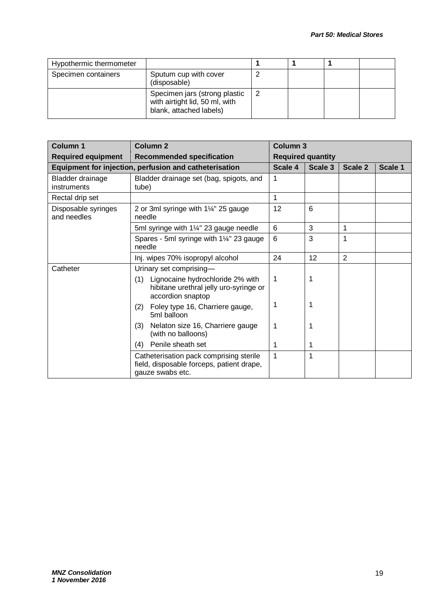| Hypothermic thermometer |                                                                                            |  |  |
|-------------------------|--------------------------------------------------------------------------------------------|--|--|
| Specimen containers     | Sputum cup with cover<br>(disposable)                                                      |  |  |
|                         | Specimen jars (strong plastic<br>with airtight lid, 50 ml, with<br>blank, attached labels) |  |  |

| <b>Column 1</b>                    | <b>Column 2</b>                                                                                                                   | <b>Column 3</b> |                          |                |         |
|------------------------------------|-----------------------------------------------------------------------------------------------------------------------------------|-----------------|--------------------------|----------------|---------|
| <b>Required equipment</b>          | <b>Recommended specification</b>                                                                                                  |                 | <b>Required quantity</b> |                |         |
|                                    | Equipment for injection, perfusion and catheterisation                                                                            | Scale 4         | Scale 3                  | Scale 2        | Scale 1 |
| Bladder drainage<br>instruments    | Bladder drainage set (bag, spigots, and<br>tube)                                                                                  | 1               |                          |                |         |
| Rectal drip set                    |                                                                                                                                   | $\mathbf{1}$    |                          |                |         |
| Disposable syringes<br>and needles | 2 or 3ml syringe with 1¼" 25 gauge<br>needle                                                                                      | 12              | 6                        |                |         |
|                                    | 5ml syringe with 1¼" 23 gauge needle                                                                                              | 6               | 3                        | 1              |         |
|                                    | Spares - 5ml syringe with 11/4" 23 gauge<br>needle                                                                                | 6               | 3                        | 1              |         |
|                                    | Inj. wipes 70% isopropyl alcohol                                                                                                  | 24              | 12                       | $\overline{2}$ |         |
| Catheter                           | Urinary set comprising-<br>Lignocaine hydrochloride 2% with<br>(1)<br>hibitane urethral jelly uro-syringe or<br>accordion snaptop | 1               | 1                        |                |         |
|                                    | Foley type 16, Charriere gauge,<br>(2)<br>5ml balloon                                                                             | 1               | 1                        |                |         |
|                                    | Nelaton size 16, Charriere gauge<br>(3)<br>(with no balloons)                                                                     | 1               | 1                        |                |         |
|                                    | Penile sheath set<br>(4)                                                                                                          | 1               | 1                        |                |         |
|                                    | Catheterisation pack comprising sterile<br>field, disposable forceps, patient drape,<br>gauze swabs etc.                          | $\mathbf 1$     | 1                        |                |         |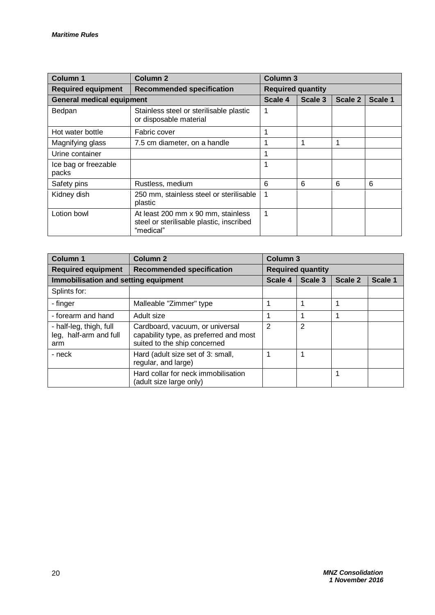| <b>Column 1</b>                  | Column <sub>2</sub>                                                                         | Column <sub>3</sub>      |         |         |         |
|----------------------------------|---------------------------------------------------------------------------------------------|--------------------------|---------|---------|---------|
| <b>Required equipment</b>        | <b>Recommended specification</b>                                                            | <b>Required quantity</b> |         |         |         |
| <b>General medical equipment</b> |                                                                                             | Scale 4                  | Scale 3 | Scale 2 | Scale 1 |
| Bedpan                           | Stainless steel or sterilisable plastic<br>or disposable material                           | 1                        |         |         |         |
| Hot water bottle                 | Fabric cover                                                                                | 1                        |         |         |         |
| Magnifying glass                 | 7.5 cm diameter, on a handle                                                                | 1                        |         |         |         |
| Urine container                  |                                                                                             | 1                        |         |         |         |
| Ice bag or freezable<br>packs    |                                                                                             | 1                        |         |         |         |
| Safety pins                      | Rustless, medium                                                                            | 6                        | 6       | 6       | 6       |
| Kidney dish                      | 250 mm, stainless steel or sterilisable<br>plastic                                          | 1                        |         |         |         |
| Lotion bowl                      | At least 200 mm x 90 mm, stainless<br>steel or sterilisable plastic, inscribed<br>"medical" | 1                        |         |         |         |

| <b>Column 1</b>                                          | <b>Column 2</b>                                                                                           | Column <sub>3</sub> |                          |         |         |
|----------------------------------------------------------|-----------------------------------------------------------------------------------------------------------|---------------------|--------------------------|---------|---------|
| <b>Required equipment</b>                                | <b>Recommended specification</b>                                                                          |                     | <b>Required quantity</b> |         |         |
| Immobilisation and setting equipment                     |                                                                                                           | Scale 4             | Scale 3                  | Scale 2 | Scale 1 |
| Splints for:                                             |                                                                                                           |                     |                          |         |         |
| - finger                                                 | Malleable "Zimmer" type                                                                                   | 1                   |                          | 1       |         |
| - forearm and hand                                       | Adult size                                                                                                | 1                   |                          |         |         |
| - half-leg, thigh, full<br>leg, half-arm and full<br>arm | Cardboard, vacuum, or universal<br>capability type, as preferred and most<br>suited to the ship concerned | $\overline{2}$      | 2                        |         |         |
| - neck                                                   | Hard (adult size set of 3: small,<br>regular, and large)                                                  | 1                   |                          |         |         |
|                                                          | Hard collar for neck immobilisation<br>(adult size large only)                                            |                     |                          |         |         |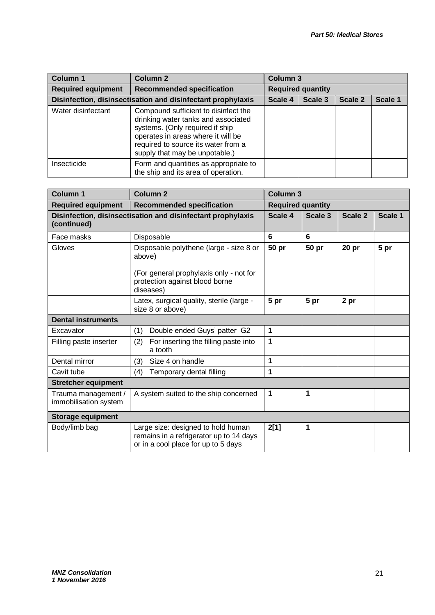| <b>Column 1</b>                                             | <b>Column 2</b>                                                                                                                                                                                                               | <b>Column 3</b>          |         |                |         |
|-------------------------------------------------------------|-------------------------------------------------------------------------------------------------------------------------------------------------------------------------------------------------------------------------------|--------------------------|---------|----------------|---------|
| <b>Required equipment</b>                                   | <b>Recommended specification</b>                                                                                                                                                                                              | <b>Required quantity</b> |         |                |         |
| Disinfection, disinsectisation and disinfectant prophylaxis |                                                                                                                                                                                                                               | Scale 4                  | Scale 3 | <b>Scale 2</b> | Scale 1 |
| Water disinfectant                                          | Compound sufficient to disinfect the<br>drinking water tanks and associated<br>systems. (Only required if ship<br>operates in areas where it will be<br>required to source its water from a<br>supply that may be unpotable.) |                          |         |                |         |
| Insecticide                                                 | Form and quantities as appropriate to<br>the ship and its area of operation.                                                                                                                                                  |                          |         |                |         |

| <b>Column 1</b>                              | Column <sub>2</sub>                                                                                                  | Column <sub>3</sub>      |         |                  |         |
|----------------------------------------------|----------------------------------------------------------------------------------------------------------------------|--------------------------|---------|------------------|---------|
| <b>Required equipment</b>                    | <b>Recommended specification</b>                                                                                     | <b>Required quantity</b> |         |                  |         |
| (continued)                                  | Disinfection, disinsectisation and disinfectant prophylaxis                                                          | Scale 4                  | Scale 3 | Scale 2          | Scale 1 |
| Face masks                                   | Disposable                                                                                                           | 6                        | 6       |                  |         |
| Gloves                                       | Disposable polythene (large - size 8 or<br>above)                                                                    | 50 pr                    | 50 pr   | 20 <sub>pr</sub> | 5 pr    |
|                                              | (For general prophylaxis only - not for<br>protection against blood borne<br>diseases)                               |                          |         |                  |         |
|                                              | Latex, surgical quality, sterile (large -<br>size 8 or above)                                                        | 5 pr                     | 5 pr    | 2 pr             |         |
| <b>Dental instruments</b>                    |                                                                                                                      |                          |         |                  |         |
| Excavator                                    | Double ended Guys' patter G2<br>(1)                                                                                  | 1                        |         |                  |         |
| Filling paste inserter                       | (2)<br>For inserting the filling paste into<br>a tooth                                                               | 1                        |         |                  |         |
| Dental mirror                                | (3)<br>Size 4 on handle                                                                                              | 1                        |         |                  |         |
| Cavit tube                                   | (4)<br>Temporary dental filling                                                                                      | 1                        |         |                  |         |
| <b>Stretcher equipment</b>                   |                                                                                                                      |                          |         |                  |         |
| Trauma management /<br>immobilisation system | A system suited to the ship concerned                                                                                | 1                        | 1       |                  |         |
| <b>Storage equipment</b>                     |                                                                                                                      |                          |         |                  |         |
| Body/limb bag                                | Large size: designed to hold human<br>remains in a refrigerator up to 14 days<br>or in a cool place for up to 5 days | 2[1]                     | 1       |                  |         |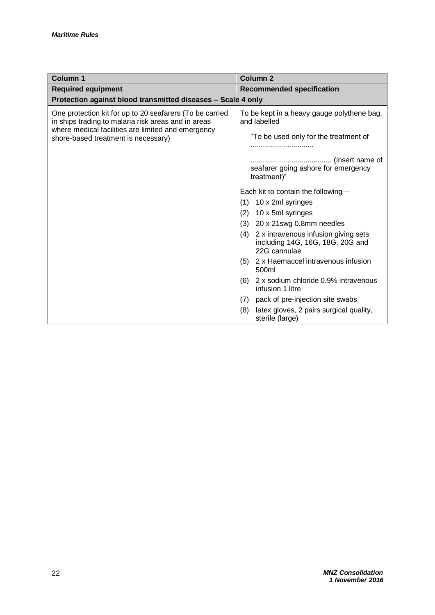| <b>Column 1</b>                                                                                                 | Column <sub>2</sub>                                                                             |  |
|-----------------------------------------------------------------------------------------------------------------|-------------------------------------------------------------------------------------------------|--|
| <b>Required equipment</b>                                                                                       | <b>Recommended specification</b>                                                                |  |
| Protection against blood transmitted diseases - Scale 4 only                                                    |                                                                                                 |  |
| One protection kit for up to 20 seafarers (To be carried<br>in ships trading to malaria risk areas and in areas | To be kept in a heavy gauge polythene bag,<br>and labelled                                      |  |
| where medical facilities are limited and emergency<br>shore-based treatment is necessary)                       | "To be used only for the treatment of                                                           |  |
|                                                                                                                 | seafarer going ashore for emergency<br>treatment)"                                              |  |
|                                                                                                                 | Each kit to contain the following-                                                              |  |
|                                                                                                                 | 10 x 2ml syringes<br>(1)                                                                        |  |
|                                                                                                                 | 10 x 5ml syringes<br>(2)                                                                        |  |
|                                                                                                                 | 20 x 21swg 0.8mm needles<br>(3)                                                                 |  |
|                                                                                                                 | 2 x intravenous infusion giving sets<br>(4)<br>including 14G, 16G, 18G, 20G and<br>22G cannulae |  |
|                                                                                                                 | 2 x Haemaccel intravenous infusion<br>(5)<br>500ml                                              |  |
|                                                                                                                 | 2 x sodium chloride 0.9% intravenous<br>(6)<br>infusion 1 litre                                 |  |
|                                                                                                                 | pack of pre-injection site swabs<br>(7)                                                         |  |
|                                                                                                                 | latex gloves, 2 pairs surgical quality,<br>(8)<br>sterile (large)                               |  |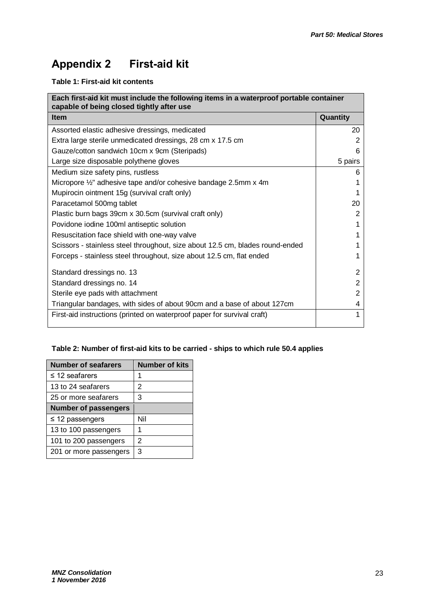## **Appendix 2 First-aid kit**

#### **Table 1: First-aid kit contents**

| Each first-aid kit must include the following items in a waterproof portable container<br>capable of being closed tightly after use |          |  |
|-------------------------------------------------------------------------------------------------------------------------------------|----------|--|
| <b>Item</b>                                                                                                                         | Quantity |  |
| Assorted elastic adhesive dressings, medicated                                                                                      | 20       |  |
| Extra large sterile unmedicated dressings, 28 cm x 17.5 cm                                                                          | 2        |  |
| Gauze/cotton sandwich 10cm x 9cm (Steripads)                                                                                        | 6        |  |
| Large size disposable polythene gloves                                                                                              | 5 pairs  |  |
| Medium size safety pins, rustless                                                                                                   | 6        |  |
| Micropore 1/2" adhesive tape and/or cohesive bandage 2.5mm x 4m                                                                     |          |  |
| Mupirocin ointment 15g (survival craft only)                                                                                        |          |  |
| Paracetamol 500mg tablet                                                                                                            | 20       |  |
| Plastic burn bags 39cm x 30.5cm (survival craft only)                                                                               | 2        |  |
| Povidone iodine 100ml antiseptic solution                                                                                           |          |  |
| Resuscitation face shield with one-way valve                                                                                        |          |  |
| Scissors - stainless steel throughout, size about 12.5 cm, blades round-ended                                                       |          |  |
| Forceps - stainless steel throughout, size about 12.5 cm, flat ended                                                                |          |  |
| Standard dressings no. 13                                                                                                           | 2        |  |
| Standard dressings no. 14                                                                                                           | 2        |  |
| Sterile eye pads with attachment                                                                                                    | 2        |  |
| Triangular bandages, with sides of about 90cm and a base of about 127cm                                                             | 4        |  |
| First-aid instructions (printed on waterproof paper for survival craft)                                                             |          |  |

#### **Table 2: Number of first-aid kits to be carried - ships to which rule 50.4 applies**

| <b>Number of seafarers</b>  | <b>Number of kits</b> |
|-----------------------------|-----------------------|
| $\leq$ 12 seafarers         | 1                     |
| 13 to 24 seafarers          | 2                     |
| 25 or more seafarers        | 3                     |
| <b>Number of passengers</b> |                       |
| $\leq$ 12 passengers        | Nil                   |
| 13 to 100 passengers        |                       |
| 101 to 200 passengers       | 2                     |
| 201 or more passengers      | З                     |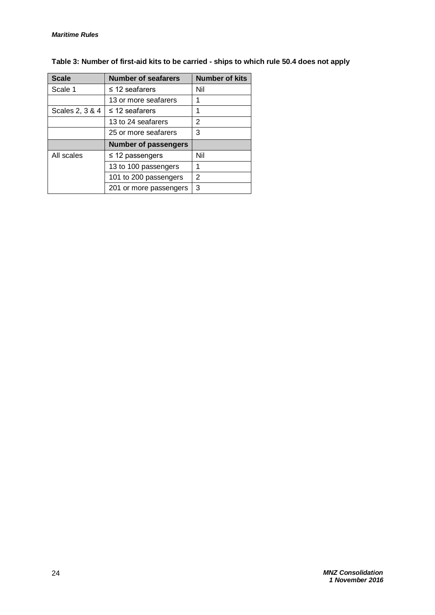| <b>Scale</b>    | <b>Number of seafarers</b>  | <b>Number of kits</b> |
|-----------------|-----------------------------|-----------------------|
| Scale 1         | $\leq$ 12 seafarers         | Nil                   |
|                 | 13 or more seafarers        | 1                     |
| Scales 2, 3 & 4 | $\leq$ 12 seafarers         | 1                     |
|                 | 13 to 24 seafarers          | 2                     |
|                 | 25 or more seafarers        | 3                     |
|                 | <b>Number of passengers</b> |                       |
| All scales      | $\leq$ 12 passengers        | Nil                   |
|                 | 13 to 100 passengers        | 1                     |
|                 | 101 to 200 passengers       | 2                     |
|                 | 201 or more passengers      | 3                     |

#### **Table 3: Number of first-aid kits to be carried - ships to which rule 50.4 does not apply**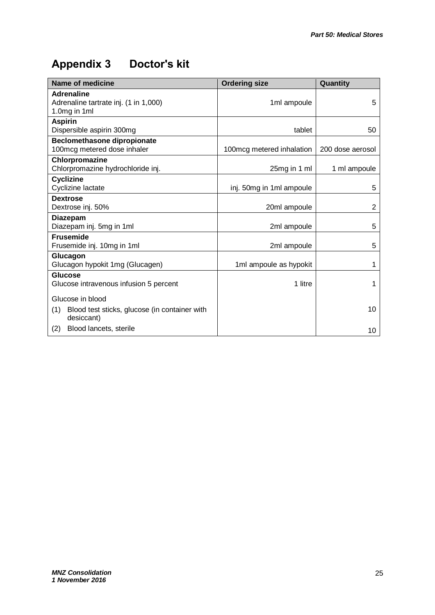# **Appendix 3 Doctor's kit**

| <b>Name of medicine</b>                                                    | <b>Ordering size</b>       | Quantity         |
|----------------------------------------------------------------------------|----------------------------|------------------|
| <b>Adrenaline</b><br>Adrenaline tartrate inj. (1 in 1,000)<br>1.0mg in 1ml | 1ml ampoule                | 5                |
| <b>Aspirin</b><br>Dispersible aspirin 300mg                                | tablet                     | 50               |
| <b>Beclomethasone dipropionate</b><br>100mcg metered dose inhaler          | 100 mcg metered inhalation | 200 dose aerosol |
| Chlorpromazine<br>Chlorpromazine hydrochloride inj.                        | 25mg in 1 ml               | 1 ml ampoule     |
| <b>Cyclizine</b><br>Cyclizine lactate                                      | inj. 50mg in 1ml ampoule   | 5                |
| <b>Dextrose</b><br>Dextrose inj. 50%                                       | 20ml ampoule               | 2                |
| <b>Diazepam</b><br>Diazepam inj. 5mg in 1ml                                | 2ml ampoule                | 5                |
| <b>Frusemide</b><br>Frusemide inj. 10mg in 1ml                             | 2ml ampoule                | 5                |
| Glucagon<br>Glucagon hypokit 1mg (Glucagen)                                | 1ml ampoule as hypokit     | 1                |
| Glucose<br>Glucose intravenous infusion 5 percent                          | 1 litre                    | 1                |
| Glucose in blood                                                           |                            |                  |
| Blood test sticks, glucose (in container with<br>(1)<br>desiccant)         |                            | 10               |
| Blood lancets, sterile<br>(2)                                              |                            | 10               |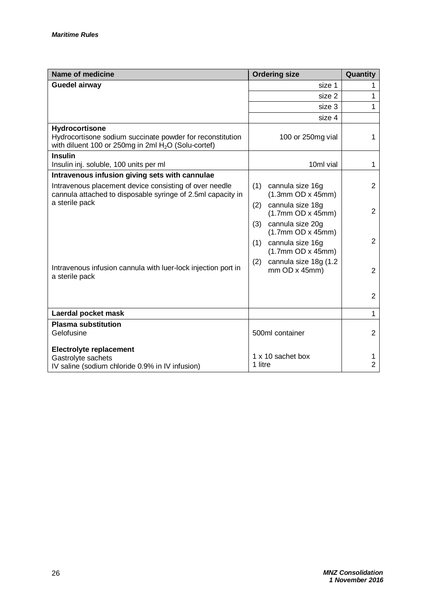| <b>Name of medicine</b>                                                                                                             | <b>Ordering size</b>                                  | Quantity            |
|-------------------------------------------------------------------------------------------------------------------------------------|-------------------------------------------------------|---------------------|
| <b>Guedel airway</b>                                                                                                                | size 1                                                | 1                   |
|                                                                                                                                     | size 2                                                | 1                   |
|                                                                                                                                     | size 3                                                | 1                   |
|                                                                                                                                     | size 4                                                |                     |
| Hydrocortisone<br>Hydrocortisone sodium succinate powder for reconstitution<br>with diluent 100 or 250mg in 2ml $H2O$ (Solu-cortef) | 100 or 250mg vial                                     | 1                   |
| <b>Insulin</b><br>Insulin inj. soluble, 100 units per ml                                                                            | 10ml vial                                             | 1                   |
| Intravenous infusion giving sets with cannulae                                                                                      |                                                       |                     |
| Intravenous placement device consisting of over needle<br>cannula attached to disposable syringe of 2.5ml capacity in               | cannula size 16g<br>(1)<br>(1.3mm OD x 45mm)          | 2                   |
| a sterile pack                                                                                                                      | cannula size 18g<br>(2)<br>(1.7mm OD x 45mm)          | $\overline{2}$      |
|                                                                                                                                     | cannula size 20g<br>(3)<br>(1.7mm OD x 45mm)          | $\overline{2}$      |
|                                                                                                                                     | cannula size 16g<br>(1)<br>(1.7mm OD x 45mm)          |                     |
| Intravenous infusion cannula with luer-lock injection port in<br>a sterile pack                                                     | cannula size 18g (1.2<br>(2)<br>$mm$ OD $x$ 45 $mm$ ) | $\overline{2}$      |
|                                                                                                                                     |                                                       | $\overline{2}$      |
| Laerdal pocket mask                                                                                                                 |                                                       | 1                   |
| <b>Plasma substitution</b>                                                                                                          |                                                       |                     |
| Gelofusine                                                                                                                          | 500ml container                                       | $\overline{2}$      |
| <b>Electrolyte replacement</b>                                                                                                      |                                                       |                     |
| Gastrolyte sachets                                                                                                                  | 1 x 10 sachet box<br>1 litre                          | 1<br>$\overline{2}$ |
| IV saline (sodium chloride 0.9% in IV infusion)                                                                                     |                                                       |                     |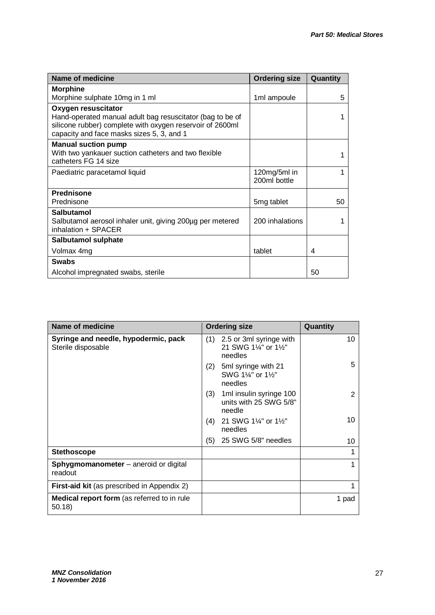| Name of medicine                                                                                                                                                                           | <b>Ordering size</b>         | Quantity |
|--------------------------------------------------------------------------------------------------------------------------------------------------------------------------------------------|------------------------------|----------|
| <b>Morphine</b>                                                                                                                                                                            |                              |          |
| Morphine sulphate 10mg in 1 ml                                                                                                                                                             | 1ml ampoule                  | 5        |
| Oxygen resuscitator<br>Hand-operated manual adult bag resuscitator (bag to be of<br>silicone rubber) complete with oxygen reservoir of 2600ml<br>capacity and face masks sizes 5, 3, and 1 |                              |          |
| <b>Manual suction pump</b><br>With two yankauer suction catheters and two flexible<br>catheters FG 14 size                                                                                 |                              |          |
| Paediatric paracetamol liquid                                                                                                                                                              | 120mg/5ml in<br>200ml bottle |          |
| <b>Prednisone</b>                                                                                                                                                                          |                              |          |
| Prednisone                                                                                                                                                                                 | 5 <sub>mg tablet</sub>       | 50       |
| Salbutamol<br>Salbutamol aerosol inhaler unit, giving 200µg per metered<br>inhalation + SPACER                                                                                             | 200 inhalations              |          |
| Salbutamol sulphate                                                                                                                                                                        |                              |          |
| Volmax 4mg                                                                                                                                                                                 | tablet                       | 4        |
| <b>Swabs</b>                                                                                                                                                                               |                              |          |
| Alcohol impregnated swabs, sterile                                                                                                                                                         |                              | 50       |

| Name of medicine                                             | <b>Ordering size</b>                                               | Quantity |
|--------------------------------------------------------------|--------------------------------------------------------------------|----------|
| Syringe and needle, hypodermic, pack<br>Sterile disposable   | $(1)$ 2.5 or 3ml syringe with<br>21 SWG 11/4" or 11/2"<br>needles  | 10       |
|                                                              | 5ml syringe with 21<br>(2)<br>SWG 1¼" or 1½"<br>needles            | 5        |
|                                                              | 1ml insulin syringe 100<br>(3)<br>units with 25 SWG 5/8"<br>needle | 2        |
|                                                              | 21 SWG 1¼" or 1½"<br>(4)<br>needles                                | 10       |
|                                                              | 25 SWG 5/8" needles<br>(5)                                         | 10       |
| <b>Stethoscope</b>                                           |                                                                    |          |
| Sphygmomanometer - aneroid or digital<br>readout             |                                                                    |          |
| <b>First-aid kit</b> (as prescribed in Appendix 2)           |                                                                    |          |
| <b>Medical report form</b> (as referred to in rule<br>50.18) |                                                                    | 1 pad    |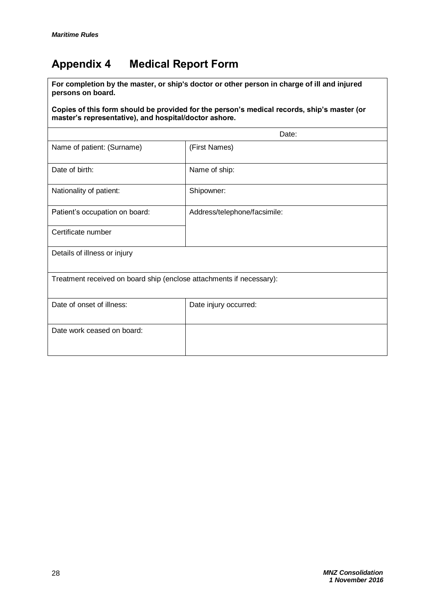## **Appendix 4 Medical Report Form**

**For completion by the master, or ship's doctor or other person in charge of ill and injured persons on board.** 

#### **Copies of this form should be provided for the person's medical records, ship's master (or master's representative), and hospital/doctor ashore.**

|                                                                      | Date:                        |
|----------------------------------------------------------------------|------------------------------|
| Name of patient: (Surname)                                           | (First Names)                |
| Date of birth:                                                       | Name of ship:                |
| Nationality of patient:                                              | Shipowner:                   |
| Patient's occupation on board:                                       | Address/telephone/facsimile: |
| Certificate number                                                   |                              |
| Details of illness or injury                                         |                              |
| Treatment received on board ship (enclose attachments if necessary): |                              |
| Date of onset of illness:                                            | Date injury occurred:        |
| Date work ceased on board:                                           |                              |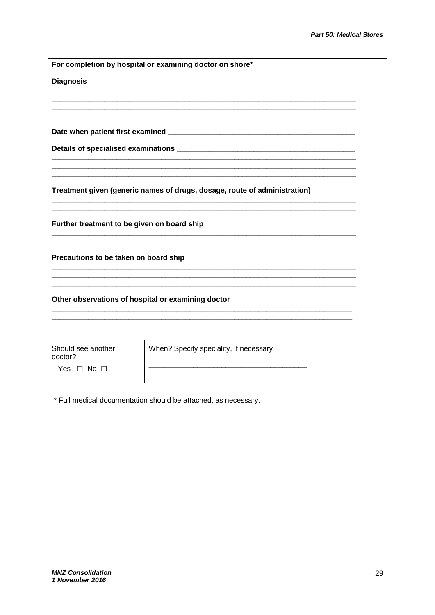|                                             | For completion by hospital or examining doctor on shore*                  |  |
|---------------------------------------------|---------------------------------------------------------------------------|--|
| <b>Diagnosis</b>                            |                                                                           |  |
|                                             |                                                                           |  |
|                                             |                                                                           |  |
|                                             |                                                                           |  |
|                                             |                                                                           |  |
|                                             |                                                                           |  |
|                                             |                                                                           |  |
|                                             | Treatment given (generic names of drugs, dosage, route of administration) |  |
|                                             |                                                                           |  |
| Further treatment to be given on board ship |                                                                           |  |
|                                             |                                                                           |  |
| Precautions to be taken on board ship       |                                                                           |  |
|                                             |                                                                           |  |
|                                             |                                                                           |  |
|                                             | Other observations of hospital or examining doctor                        |  |
|                                             |                                                                           |  |
|                                             |                                                                           |  |
| Should see another<br>doctor?               | When? Specify speciality, if necessary                                    |  |
| Yes $\Box$ No $\Box$                        |                                                                           |  |

\* Full medical documentation should be attached, as necessary.